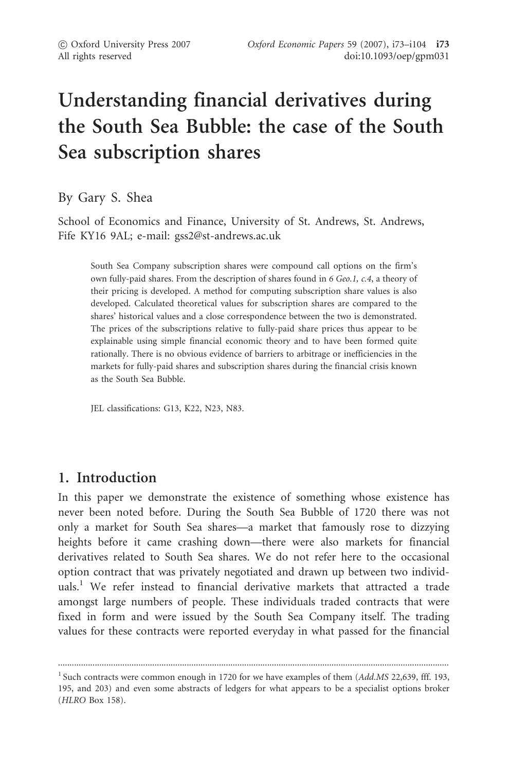# Understanding financial derivatives during the South Sea Bubble: the case of the South Sea subscription shares

By Gary S. Shea

School of Economics and Finance, University of St. Andrews, St. Andrews, Fife KY16 9AL; e-mail: gss2@st-andrews.ac.uk

South Sea Company subscription shares were compound call options on the firm's own fully-paid shares. From the description of shares found in 6 Geo.1, c.4, a theory of their pricing is developed. A method for computing subscription share values is also developed. Calculated theoretical values for subscription shares are compared to the shares' historical values and a close correspondence between the two is demonstrated. The prices of the subscriptions relative to fully-paid share prices thus appear to be explainable using simple financial economic theory and to have been formed quite rationally. There is no obvious evidence of barriers to arbitrage or inefficiencies in the markets for fully-paid shares and subscription shares during the financial crisis known as the South Sea Bubble.

JEL classifications: G13, K22, N23, N83.

### 1. Introduction

In this paper we demonstrate the existence of something whose existence has never been noted before. During the South Sea Bubble of 1720 there was not only a market for South Sea shares—a market that famously rose to dizzying heights before it came crashing down—there were also markets for financial derivatives related to South Sea shares. We do not refer here to the occasional option contract that was privately negotiated and drawn up between two individuals.<sup>1</sup> We refer instead to financial derivative markets that attracted a trade amongst large numbers of people. These individuals traded contracts that were fixed in form and were issued by the South Sea Company itself. The trading values for these contracts were reported everyday in what passed for the financial

<sup>..........................................................................................................................................................................</sup>

<sup>&</sup>lt;sup>1</sup> Such contracts were common enough in 1720 for we have examples of them (Add.MS 22,639, fff. 193, 195, and 203) and even some abstracts of ledgers for what appears to be a specialist options broker (HLRO Box 158).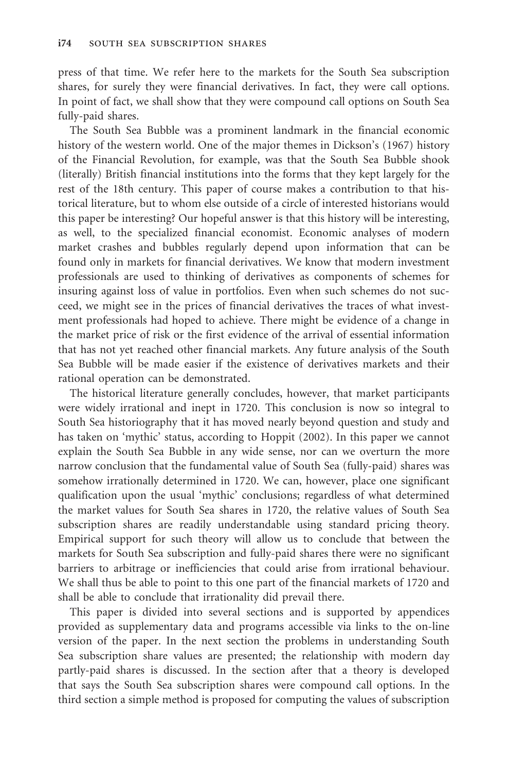press of that time. We refer here to the markets for the South Sea subscription shares, for surely they were financial derivatives. In fact, they were call options. In point of fact, we shall show that they were compound call options on South Sea fully-paid shares.

The South Sea Bubble was a prominent landmark in the financial economic history of the western world. One of the major themes in Dickson's (1967) history of the Financial Revolution, for example, was that the South Sea Bubble shook (literally) British financial institutions into the forms that they kept largely for the rest of the 18th century. This paper of course makes a contribution to that historical literature, but to whom else outside of a circle of interested historians would this paper be interesting? Our hopeful answer is that this history will be interesting, as well, to the specialized financial economist. Economic analyses of modern market crashes and bubbles regularly depend upon information that can be found only in markets for financial derivatives. We know that modern investment professionals are used to thinking of derivatives as components of schemes for insuring against loss of value in portfolios. Even when such schemes do not succeed, we might see in the prices of financial derivatives the traces of what investment professionals had hoped to achieve. There might be evidence of a change in the market price of risk or the first evidence of the arrival of essential information that has not yet reached other financial markets. Any future analysis of the South Sea Bubble will be made easier if the existence of derivatives markets and their rational operation can be demonstrated.

The historical literature generally concludes, however, that market participants were widely irrational and inept in 1720. This conclusion is now so integral to South Sea historiography that it has moved nearly beyond question and study and has taken on 'mythic' status, according to Hoppit (2002). In this paper we cannot explain the South Sea Bubble in any wide sense, nor can we overturn the more narrow conclusion that the fundamental value of South Sea (fully-paid) shares was somehow irrationally determined in 1720. We can, however, place one significant qualification upon the usual 'mythic' conclusions; regardless of what determined the market values for South Sea shares in 1720, the relative values of South Sea subscription shares are readily understandable using standard pricing theory. Empirical support for such theory will allow us to conclude that between the markets for South Sea subscription and fully-paid shares there were no significant barriers to arbitrage or inefficiencies that could arise from irrational behaviour. We shall thus be able to point to this one part of the financial markets of 1720 and shall be able to conclude that irrationality did prevail there.

This paper is divided into several sections and is supported by appendices provided as supplementary data and programs accessible via links to the on-line version of the paper. In the next section the problems in understanding South Sea subscription share values are presented; the relationship with modern day partly-paid shares is discussed. In the section after that a theory is developed that says the South Sea subscription shares were compound call options. In the third section a simple method is proposed for computing the values of subscription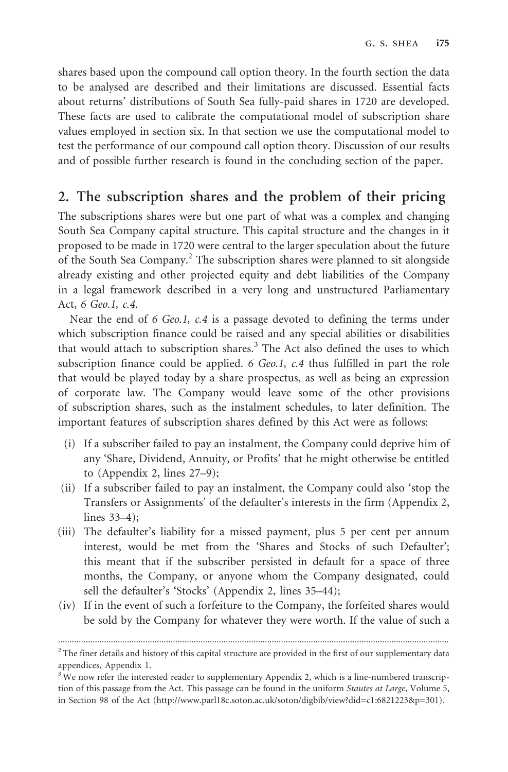shares based upon the compound call option theory. In the fourth section the data to be analysed are described and their limitations are discussed. Essential facts about returns' distributions of South Sea fully-paid shares in 1720 are developed. These facts are used to calibrate the computational model of subscription share values employed in section six. In that section we use the computational model to test the performance of our compound call option theory. Discussion of our results and of possible further research is found in the concluding section of the paper.

#### 2. The subscription shares and the problem of their pricing

The subscriptions shares were but one part of what was a complex and changing South Sea Company capital structure. This capital structure and the changes in it proposed to be made in 1720 were central to the larger speculation about the future of the South Sea Company.<sup>2</sup> The subscription shares were planned to sit alongside already existing and other projected equity and debt liabilities of the Company in a legal framework described in a very long and unstructured Parliamentary Act, 6 Geo.1, c.4.

Near the end of 6 Geo.1, c.4 is a passage devoted to defining the terms under which subscription finance could be raised and any special abilities or disabilities that would attach to subscription shares. $3$  The Act also defined the uses to which subscription finance could be applied. 6 Geo.1, c.4 thus fulfilled in part the role that would be played today by a share prospectus, as well as being an expression of corporate law. The Company would leave some of the other provisions of subscription shares, such as the instalment schedules, to later definition. The important features of subscription shares defined by this Act were as follows:

- (i) If a subscriber failed to pay an instalment, the Company could deprive him of any 'Share, Dividend, Annuity, or Profits' that he might otherwise be entitled to (Appendix 2, lines 27–9);
- (ii) If a subscriber failed to pay an instalment, the Company could also 'stop the Transfers or Assignments' of the defaulter's interests in the firm (Appendix 2, lines 33–4);
- (iii) The defaulter's liability for a missed payment, plus 5 per cent per annum interest, would be met from the 'Shares and Stocks of such Defaulter'; this meant that if the subscriber persisted in default for a space of three months, the Company, or anyone whom the Company designated, could sell the defaulter's 'Stocks' (Appendix 2, lines 35–44);
- (iv) If in the event of such a forfeiture to the Company, the forfeited shares would be sold by the Company for whatever they were worth. If the value of such a

<sup>..........................................................................................................................................................................</sup>  $2$  The finer details and history of this capital structure are provided in the first of our supplementary data appendices, Appendix 1.

<sup>&</sup>lt;sup>3</sup>We now refer the interested reader to supplementary Appendix 2, which is a line-numbered transcription of this passage from the Act. This passage can be found in the uniform Stautes at Large, Volume 5, in Section 98 of the Act (http://www.parl18c.soton.ac.uk/soton/digbib/view?did=c1:6821223&p=301).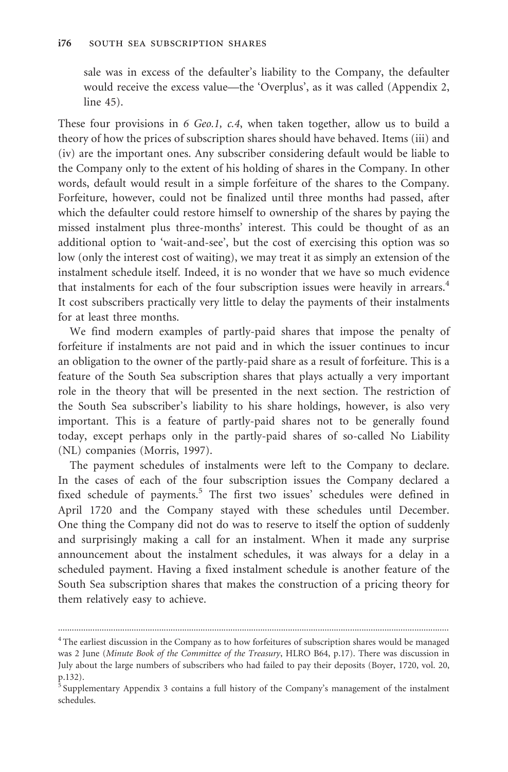sale was in excess of the defaulter's liability to the Company, the defaulter would receive the excess value—the 'Overplus', as it was called (Appendix 2, line 45).

These four provisions in 6 Geo.1, c.4, when taken together, allow us to build a theory of how the prices of subscription shares should have behaved. Items (iii) and (iv) are the important ones. Any subscriber considering default would be liable to the Company only to the extent of his holding of shares in the Company. In other words, default would result in a simple forfeiture of the shares to the Company. Forfeiture, however, could not be finalized until three months had passed, after which the defaulter could restore himself to ownership of the shares by paying the missed instalment plus three-months' interest. This could be thought of as an additional option to 'wait-and-see', but the cost of exercising this option was so low (only the interest cost of waiting), we may treat it as simply an extension of the instalment schedule itself. Indeed, it is no wonder that we have so much evidence that instalments for each of the four subscription issues were heavily in arrears.<sup>4</sup> It cost subscribers practically very little to delay the payments of their instalments for at least three months.

We find modern examples of partly-paid shares that impose the penalty of forfeiture if instalments are not paid and in which the issuer continues to incur an obligation to the owner of the partly-paid share as a result of forfeiture. This is a feature of the South Sea subscription shares that plays actually a very important role in the theory that will be presented in the next section. The restriction of the South Sea subscriber's liability to his share holdings, however, is also very important. This is a feature of partly-paid shares not to be generally found today, except perhaps only in the partly-paid shares of so-called No Liability (NL) companies (Morris, 1997).

The payment schedules of instalments were left to the Company to declare. In the cases of each of the four subscription issues the Company declared a fixed schedule of payments.<sup>5</sup> The first two issues' schedules were defined in April 1720 and the Company stayed with these schedules until December. One thing the Company did not do was to reserve to itself the option of suddenly and surprisingly making a call for an instalment. When it made any surprise announcement about the instalment schedules, it was always for a delay in a scheduled payment. Having a fixed instalment schedule is another feature of the South Sea subscription shares that makes the construction of a pricing theory for them relatively easy to achieve.

..........................................................................................................................................................................

<sup>&</sup>lt;sup>4</sup> The earliest discussion in the Company as to how forfeitures of subscription shares would be managed was 2 June (Minute Book of the Committee of the Treasury, HLRO B64, p.17). There was discussion in July about the large numbers of subscribers who had failed to pay their deposits (Boyer, 1720, vol. 20, p.132).

<sup>5</sup> Supplementary Appendix 3 contains a full history of the Company's management of the instalment schedules.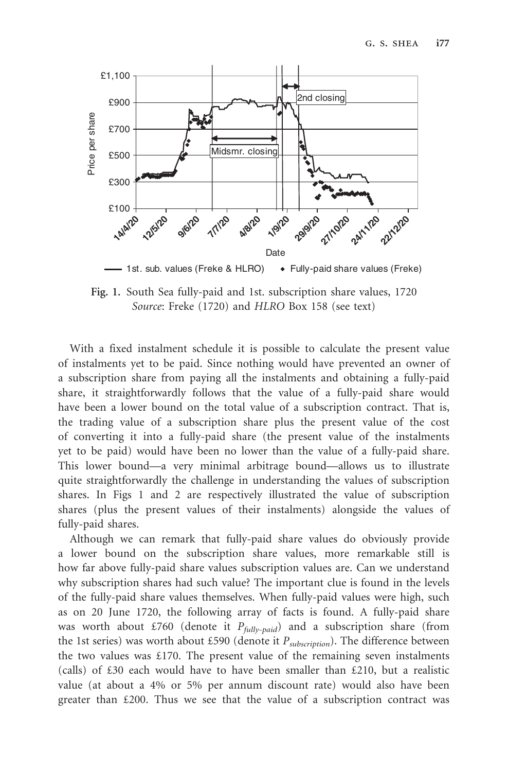

Fig. 1. South Sea fully-paid and 1st. subscription share values, 1720 Source: Freke (1720) and HLRO Box 158 (see text)

With a fixed instalment schedule it is possible to calculate the present value of instalments yet to be paid. Since nothing would have prevented an owner of a subscription share from paying all the instalments and obtaining a fully-paid share, it straightforwardly follows that the value of a fully-paid share would have been a lower bound on the total value of a subscription contract. That is, the trading value of a subscription share plus the present value of the cost of converting it into a fully-paid share (the present value of the instalments yet to be paid) would have been no lower than the value of a fully-paid share. This lower bound—a very minimal arbitrage bound—allows us to illustrate quite straightforwardly the challenge in understanding the values of subscription shares. In Figs 1 and 2 are respectively illustrated the value of subscription shares (plus the present values of their instalments) alongside the values of fully-paid shares.

Although we can remark that fully-paid share values do obviously provide a lower bound on the subscription share values, more remarkable still is how far above fully-paid share values subscription values are. Can we understand why subscription shares had such value? The important clue is found in the levels of the fully-paid share values themselves. When fully-paid values were high, such as on 20 June 1720, the following array of facts is found. A fully-paid share was worth about £760 (denote it  $P_{fully\text{-}paid}$ ) and a subscription share (from the 1st series) was worth about £590 (denote it  $P_{subsection}$ ). The difference between the two values was £170. The present value of the remaining seven instalments (calls) of  $\text{\pounds}30$  each would have to have been smaller than  $\text{\pounds}210$ , but a realistic value (at about a 4% or 5% per annum discount rate) would also have been greater than £200. Thus we see that the value of a subscription contract was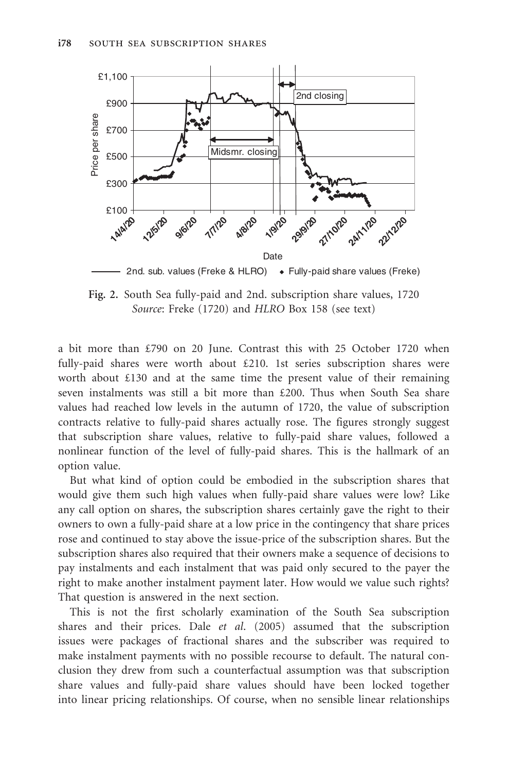

Fig. 2. South Sea fully-paid and 2nd. subscription share values, 1720 Source: Freke (1720) and HLRO Box 158 (see text)

a bit more than £790 on 20 June. Contrast this with 25 October 1720 when fully-paid shares were worth about £210. 1st series subscription shares were worth about £130 and at the same time the present value of their remaining seven instalments was still a bit more than £200. Thus when South Sea share values had reached low levels in the autumn of 1720, the value of subscription contracts relative to fully-paid shares actually rose. The figures strongly suggest that subscription share values, relative to fully-paid share values, followed a nonlinear function of the level of fully-paid shares. This is the hallmark of an option value.

But what kind of option could be embodied in the subscription shares that would give them such high values when fully-paid share values were low? Like any call option on shares, the subscription shares certainly gave the right to their owners to own a fully-paid share at a low price in the contingency that share prices rose and continued to stay above the issue-price of the subscription shares. But the subscription shares also required that their owners make a sequence of decisions to pay instalments and each instalment that was paid only secured to the payer the right to make another instalment payment later. How would we value such rights? That question is answered in the next section.

This is not the first scholarly examination of the South Sea subscription shares and their prices. Dale et al. (2005) assumed that the subscription issues were packages of fractional shares and the subscriber was required to make instalment payments with no possible recourse to default. The natural conclusion they drew from such a counterfactual assumption was that subscription share values and fully-paid share values should have been locked together into linear pricing relationships. Of course, when no sensible linear relationships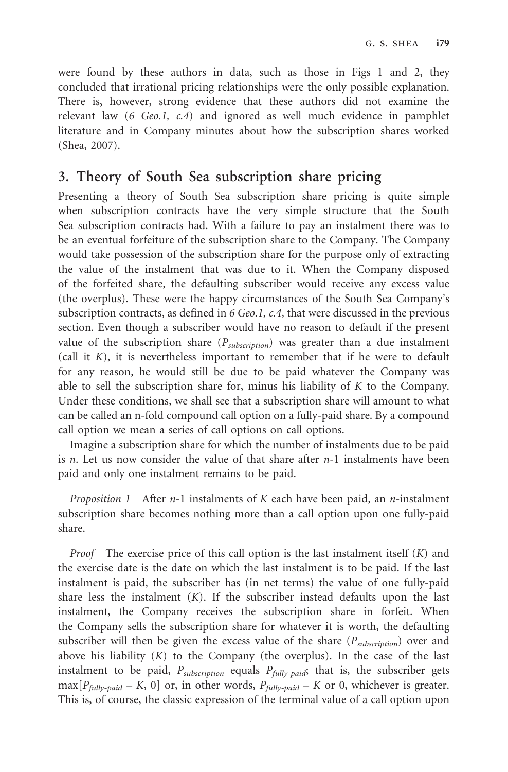were found by these authors in data, such as those in Figs 1 and 2, they concluded that irrational pricing relationships were the only possible explanation. There is, however, strong evidence that these authors did not examine the relevant law (6 Geo.1, c.4) and ignored as well much evidence in pamphlet literature and in Company minutes about how the subscription shares worked (Shea, 2007).

#### 3. Theory of South Sea subscription share pricing

Presenting a theory of South Sea subscription share pricing is quite simple when subscription contracts have the very simple structure that the South Sea subscription contracts had. With a failure to pay an instalment there was to be an eventual forfeiture of the subscription share to the Company. The Company would take possession of the subscription share for the purpose only of extracting the value of the instalment that was due to it. When the Company disposed of the forfeited share, the defaulting subscriber would receive any excess value (the overplus). These were the happy circumstances of the South Sea Company's subscription contracts, as defined in 6 Geo.1, c.4, that were discussed in the previous section. Even though a subscriber would have no reason to default if the present value of the subscription share  $(P_{subscription})$  was greater than a due instalment (call it K), it is nevertheless important to remember that if he were to default for any reason, he would still be due to be paid whatever the Company was able to sell the subscription share for, minus his liability of  $K$  to the Company. Under these conditions, we shall see that a subscription share will amount to what can be called an n-fold compound call option on a fully-paid share. By a compound call option we mean a series of call options on call options.

Imagine a subscription share for which the number of instalments due to be paid is *n*. Let us now consider the value of that share after  $n-1$  instalments have been paid and only one instalment remains to be paid.

*Proposition 1* After *n*-1 instalments of K each have been paid, an *n*-instalment subscription share becomes nothing more than a call option upon one fully-paid share.

*Proof* The exercise price of this call option is the last instalment itself  $(K)$  and the exercise date is the date on which the last instalment is to be paid. If the last instalment is paid, the subscriber has (in net terms) the value of one fully-paid share less the instalment  $(K)$ . If the subscriber instead defaults upon the last instalment, the Company receives the subscription share in forfeit. When the Company sells the subscription share for whatever it is worth, the defaulting subscriber will then be given the excess value of the share  $(P_{substitution})$  over and above his liability  $(K)$  to the Company (the overplus). In the case of the last instalment to be paid,  $P_{subscript on}$  equals  $P_{fully\text{-}paid}$ ; that is, the subscriber gets  $max[P_{fullv-paid} - K, 0]$  or, in other words,  $P_{fullv-paid} - K$  or 0, whichever is greater. This is, of course, the classic expression of the terminal value of a call option upon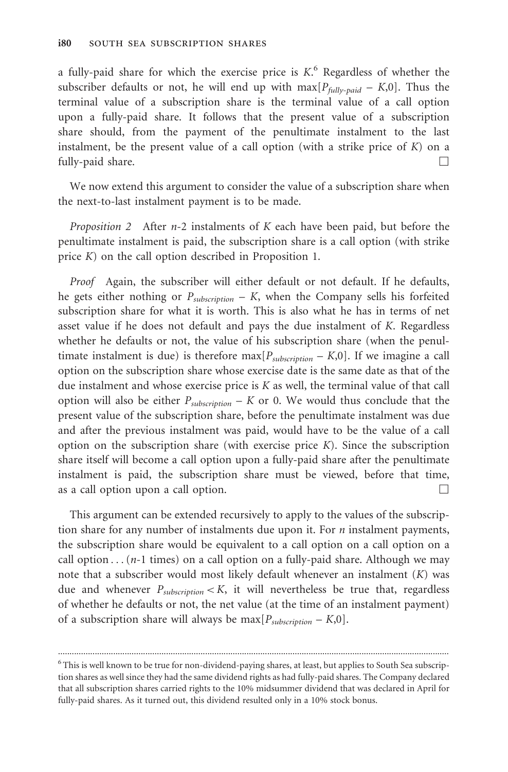a fully-paid share for which the exercise price is  $K<sup>6</sup>$  Regardless of whether the subscriber defaults or not, he will end up with  $max[P_{fullly-paid} - K, 0]$ . Thus the terminal value of a subscription share is the terminal value of a call option upon a fully-paid share. It follows that the present value of a subscription share should, from the payment of the penultimate instalment to the last instalment, be the present value of a call option (with a strike price of  $K$ ) on a fully-paid share.  $\square$ 

We now extend this argument to consider the value of a subscription share when the next-to-last instalment payment is to be made.

*Proposition 2* After  $n-2$  instalments of K each have been paid, but before the penultimate instalment is paid, the subscription share is a call option (with strike price K) on the call option described in Proposition 1.

Proof Again, the subscriber will either default or not default. If he defaults, he gets either nothing or  $P_{subscription} - K$ , when the Company sells his forfeited subscription share for what it is worth. This is also what he has in terms of net asset value if he does not default and pays the due instalment of K. Regardless whether he defaults or not, the value of his subscription share (when the penultimate instalment is due) is therefore  $max[P_{subscription} - K, 0]$ . If we imagine a call option on the subscription share whose exercise date is the same date as that of the due instalment and whose exercise price is  $K$  as well, the terminal value of that call option will also be either  $P_{subscription} - K$  or 0. We would thus conclude that the present value of the subscription share, before the penultimate instalment was due and after the previous instalment was paid, would have to be the value of a call option on the subscription share (with exercise price  $K$ ). Since the subscription share itself will become a call option upon a fully-paid share after the penultimate instalment is paid, the subscription share must be viewed, before that time, as a call option upon a call option.  $\Box$ 

This argument can be extended recursively to apply to the values of the subscription share for any number of instalments due upon it. For  $n$  instalment payments, the subscription share would be equivalent to a call option on a call option on a call option  $\dots$  (*n*-1 times) on a call option on a fully-paid share. Although we may note that a subscriber would most likely default whenever an instalment  $(K)$  was due and whenever  $P_{subscritation} < K$ , it will nevertheless be true that, regardless of whether he defaults or not, the net value (at the time of an instalment payment) of a subscription share will always be max $[P_{subscitation} - K, 0]$ .

..........................................................................................................................................................................

<sup>6</sup> This is well known to be true for non-dividend-paying shares, at least, but applies to South Sea subscription shares as well since they had the same dividend rights as had fully-paid shares. The Company declared that all subscription shares carried rights to the 10% midsummer dividend that was declared in April for fully-paid shares. As it turned out, this dividend resulted only in a 10% stock bonus.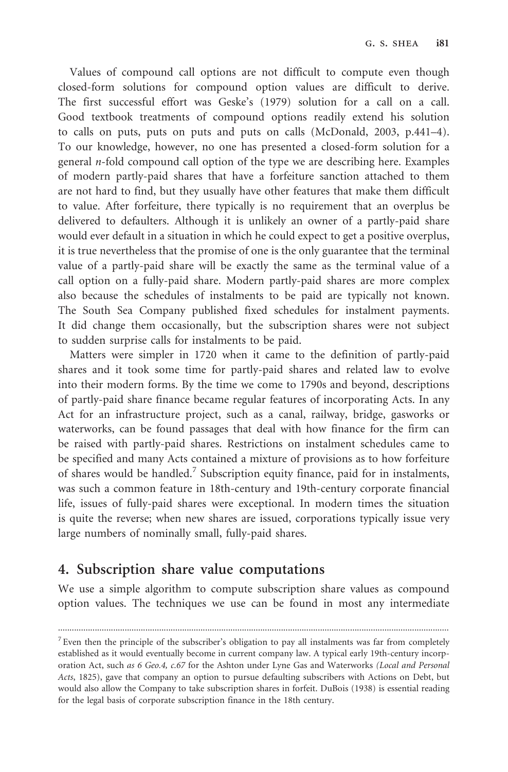Values of compound call options are not difficult to compute even though closed-form solutions for compound option values are difficult to derive. The first successful effort was Geske's (1979) solution for a call on a call. Good textbook treatments of compound options readily extend his solution to calls on puts, puts on puts and puts on calls (McDonald, 2003, p.441–4). To our knowledge, however, no one has presented a closed-form solution for a general n-fold compound call option of the type we are describing here. Examples of modern partly-paid shares that have a forfeiture sanction attached to them are not hard to find, but they usually have other features that make them difficult to value. After forfeiture, there typically is no requirement that an overplus be delivered to defaulters. Although it is unlikely an owner of a partly-paid share would ever default in a situation in which he could expect to get a positive overplus, it is true nevertheless that the promise of one is the only guarantee that the terminal value of a partly-paid share will be exactly the same as the terminal value of a call option on a fully-paid share. Modern partly-paid shares are more complex also because the schedules of instalments to be paid are typically not known. The South Sea Company published fixed schedules for instalment payments. It did change them occasionally, but the subscription shares were not subject to sudden surprise calls for instalments to be paid.

Matters were simpler in 1720 when it came to the definition of partly-paid shares and it took some time for partly-paid shares and related law to evolve into their modern forms. By the time we come to 1790s and beyond, descriptions of partly-paid share finance became regular features of incorporating Acts. In any Act for an infrastructure project, such as a canal, railway, bridge, gasworks or waterworks, can be found passages that deal with how finance for the firm can be raised with partly-paid shares. Restrictions on instalment schedules came to be specified and many Acts contained a mixture of provisions as to how forfeiture of shares would be handled.<sup>7</sup> Subscription equity finance, paid for in instalments, was such a common feature in 18th-century and 19th-century corporate financial life, issues of fully-paid shares were exceptional. In modern times the situation is quite the reverse; when new shares are issued, corporations typically issue very large numbers of nominally small, fully-paid shares.

### 4. Subscription share value computations

We use a simple algorithm to compute subscription share values as compound option values. The techniques we use can be found in most any intermediate

<sup>..........................................................................................................................................................................</sup>

<sup>&</sup>lt;sup>7</sup> Even then the principle of the subscriber's obligation to pay all instalments was far from completely established as it would eventually become in current company law. A typical early 19th-century incorporation Act, such as 6 Geo.4, c.67 for the Ashton under Lyne Gas and Waterworks (Local and Personal Acts, 1825), gave that company an option to pursue defaulting subscribers with Actions on Debt, but would also allow the Company to take subscription shares in forfeit. DuBois (1938) is essential reading for the legal basis of corporate subscription finance in the 18th century.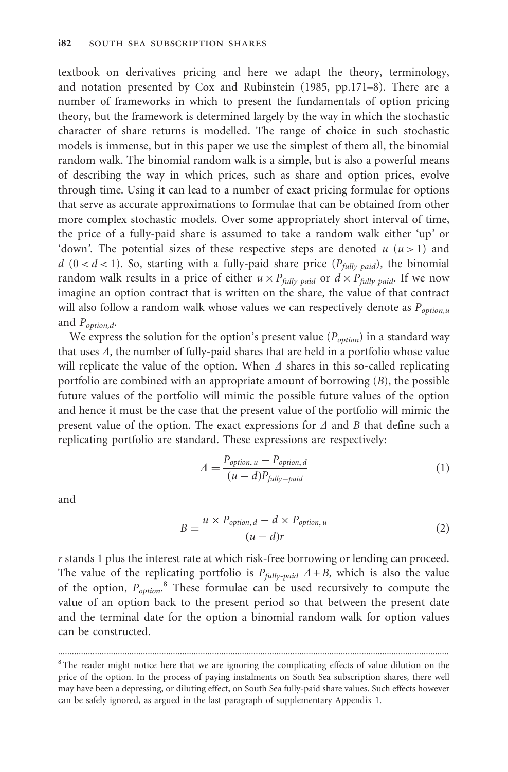textbook on derivatives pricing and here we adapt the theory, terminology, and notation presented by Cox and Rubinstein (1985, pp.171–8). There are a number of frameworks in which to present the fundamentals of option pricing theory, but the framework is determined largely by the way in which the stochastic character of share returns is modelled. The range of choice in such stochastic models is immense, but in this paper we use the simplest of them all, the binomial random walk. The binomial random walk is a simple, but is also a powerful means of describing the way in which prices, such as share and option prices, evolve through time. Using it can lead to a number of exact pricing formulae for options that serve as accurate approximations to formulae that can be obtained from other more complex stochastic models. Over some appropriately short interval of time, the price of a fully-paid share is assumed to take a random walk either 'up' or 'down'. The potential sizes of these respective steps are denoted  $u (u > 1)$  and  $d$  (0 <  $d$  < 1). So, starting with a fully-paid share price ( $P_{\text{fully-}paid}$ ), the binomial random walk results in a price of either  $u \times P_{fullv\text{-}paid}$  or  $d \times P_{fullv\text{-}valid}$ . If we now imagine an option contract that is written on the share, the value of that contract will also follow a random walk whose values we can respectively denote as  $P_{option,u}$ and  $P_{\text{option},d}$ .

We express the solution for the option's present value ( $P_{option}$ ) in a standard way that uses  $\Delta$ , the number of fully-paid shares that are held in a portfolio whose value will replicate the value of the option. When  $\Delta$  shares in this so-called replicating portfolio are combined with an appropriate amount of borrowing (B), the possible future values of the portfolio will mimic the possible future values of the option and hence it must be the case that the present value of the portfolio will mimic the present value of the option. The exact expressions for  $\Delta$  and B that define such a replicating portfolio are standard. These expressions are respectively:

$$
\Delta = \frac{P_{option, u} - P_{option, d}}{(u - d)P_{fully-paid}} \tag{1}
$$

and

$$
B = \frac{u \times P_{option,d} - d \times P_{option,u}}{(u - d)r}
$$
 (2)

r stands 1 plus the interest rate at which risk-free borrowing or lending can proceed. The value of the replicating portfolio is  $P_{fullv-paid} \Delta + B$ , which is also the value of the option,  $P_{option}$ <sup>8</sup> These formulae can be used recursively to compute the value of an option back to the present period so that between the present date and the terminal date for the option a binomial random walk for option values can be constructed.

..........................................................................................................................................................................

<sup>&</sup>lt;sup>8</sup>The reader might notice here that we are ignoring the complicating effects of value dilution on the price of the option. In the process of paying instalments on South Sea subscription shares, there well may have been a depressing, or diluting effect, on South Sea fully-paid share values. Such effects however can be safely ignored, as argued in the last paragraph of supplementary Appendix 1.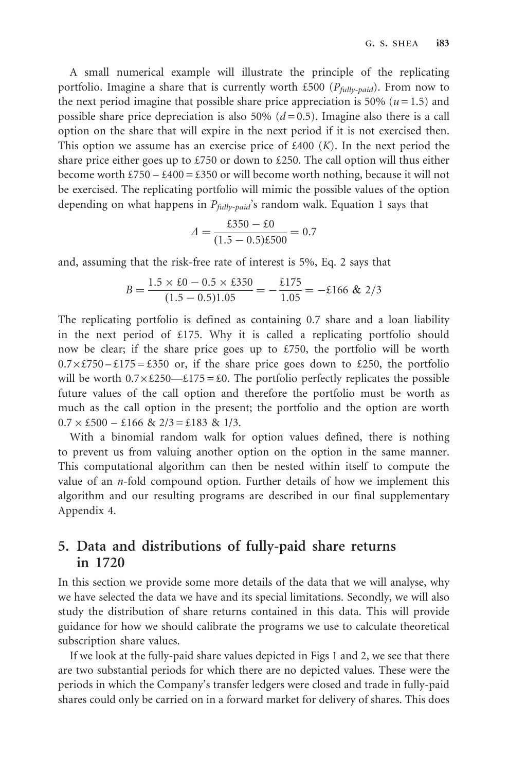A small numerical example will illustrate the principle of the replicating portfolio. Imagine a share that is currently worth £500 ( $P_{\text{fully-paid}}$ ). From now to the next period imagine that possible share price appreciation is 50% ( $u = 1.5$ ) and possible share price depreciation is also 50%  $(d=0.5)$ . Imagine also there is a call option on the share that will expire in the next period if it is not exercised then. This option we assume has an exercise price of  $\text{\pounds}400 \, (K)$ . In the next period the share price either goes up to £750 or down to £250. The call option will thus either become worth  $\text{\pounds}750 - \text{\pounds}400 = \text{\pounds}350$  or will become worth nothing, because it will not be exercised. The replicating portfolio will mimic the possible values of the option depending on what happens in  $P_{fullv-paid}$ 's random walk. Equation 1 says that

$$
\Delta = \frac{\text{\pounds}350 - \text{\pounds}0}{(1.5 - 0.5)\text{\pounds}500} = 0.7
$$

and, assuming that the risk-free rate of interest is 5%, Eq. 2 says that

$$
B = \frac{1.5 \times \text{\pounds}0 - 0.5 \times \text{\pounds}350}{(1.5 - 0.5)1.05} = -\frac{\text{\pounds}175}{1.05} = -\text{\pounds}166 \& 2/3
$$

The replicating portfolio is defined as containing 0.7 share and a loan liability in the next period of £175. Why it is called a replicating portfolio should now be clear; if the share price goes up to £750, the portfolio will be worth  $0.7 \times £750 - £175 = £350$  or, if the share price goes down to £250, the portfolio will be worth  $0.7 \times \text{\pounds}250$ — $\text{\pounds}175 = \text{\pounds}0$ . The portfolio perfectly replicates the possible future values of the call option and therefore the portfolio must be worth as much as the call option in the present; the portfolio and the option are worth  $0.7 \times £500 - £166 \& 2/3 = £183 \& 1/3.$ 

With a binomial random walk for option values defined, there is nothing to prevent us from valuing another option on the option in the same manner. This computational algorithm can then be nested within itself to compute the value of an *n*-fold compound option. Further details of how we implement this algorithm and our resulting programs are described in our final supplementary Appendix 4.

## 5. Data and distributions of fully-paid share returns in 1720

In this section we provide some more details of the data that we will analyse, why we have selected the data we have and its special limitations. Secondly, we will also study the distribution of share returns contained in this data. This will provide guidance for how we should calibrate the programs we use to calculate theoretical subscription share values.

If we look at the fully-paid share values depicted in Figs 1 and 2, we see that there are two substantial periods for which there are no depicted values. These were the periods in which the Company's transfer ledgers were closed and trade in fully-paid shares could only be carried on in a forward market for delivery of shares. This does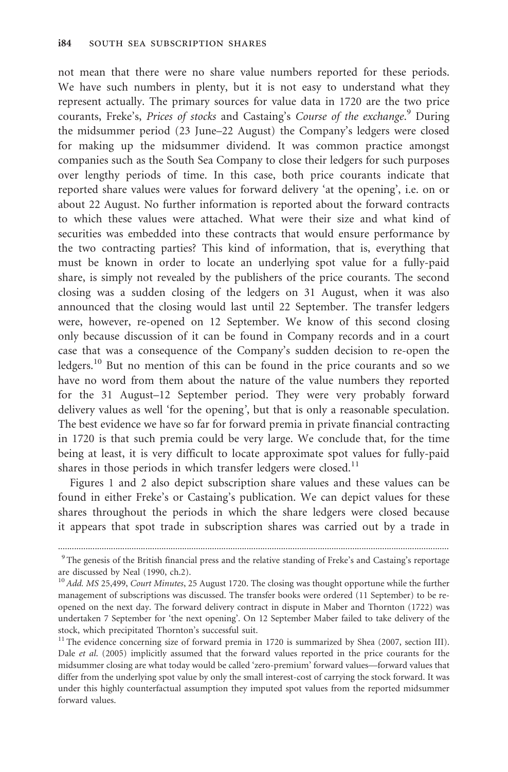not mean that there were no share value numbers reported for these periods. We have such numbers in plenty, but it is not easy to understand what they represent actually. The primary sources for value data in 1720 are the two price courants, Freke's, Prices of stocks and Castaing's Course of the exchange.<sup>9</sup> During the midsummer period (23 June–22 August) the Company's ledgers were closed for making up the midsummer dividend. It was common practice amongst companies such as the South Sea Company to close their ledgers for such purposes over lengthy periods of time. In this case, both price courants indicate that reported share values were values for forward delivery 'at the opening', i.e. on or about 22 August. No further information is reported about the forward contracts to which these values were attached. What were their size and what kind of securities was embedded into these contracts that would ensure performance by the two contracting parties? This kind of information, that is, everything that must be known in order to locate an underlying spot value for a fully-paid share, is simply not revealed by the publishers of the price courants. The second closing was a sudden closing of the ledgers on 31 August, when it was also announced that the closing would last until 22 September. The transfer ledgers were, however, re-opened on 12 September. We know of this second closing only because discussion of it can be found in Company records and in a court case that was a consequence of the Company's sudden decision to re-open the ledgers.<sup>10</sup> But no mention of this can be found in the price courants and so we have no word from them about the nature of the value numbers they reported for the 31 August–12 September period. They were very probably forward delivery values as well 'for the opening', but that is only a reasonable speculation. The best evidence we have so far for forward premia in private financial contracting in 1720 is that such premia could be very large. We conclude that, for the time being at least, it is very difficult to locate approximate spot values for fully-paid shares in those periods in which transfer ledgers were closed.<sup>11</sup>

Figures 1 and 2 also depict subscription share values and these values can be found in either Freke's or Castaing's publication. We can depict values for these shares throughout the periods in which the share ledgers were closed because it appears that spot trade in subscription shares was carried out by a trade in

<sup>..........................................................................................................................................................................</sup>

<sup>9</sup> The genesis of the British financial press and the relative standing of Freke's and Castaing's reportage are discussed by Neal (1990, ch.2).

<sup>&</sup>lt;sup>10</sup> Add. MS 25,499, Court Minutes, 25 August 1720. The closing was thought opportune while the further management of subscriptions was discussed. The transfer books were ordered (11 September) to be reopened on the next day. The forward delivery contract in dispute in Maber and Thornton (1722) was undertaken 7 September for 'the next opening'. On 12 September Maber failed to take delivery of the stock, which precipitated Thornton's successful suit.

<sup>&</sup>lt;sup>11</sup> The evidence concerning size of forward premia in 1720 is summarized by Shea (2007, section III). Dale et al. (2005) implicitly assumed that the forward values reported in the price courants for the midsummer closing are what today would be called 'zero-premium' forward values—forward values that differ from the underlying spot value by only the small interest-cost of carrying the stock forward. It was under this highly counterfactual assumption they imputed spot values from the reported midsummer forward values.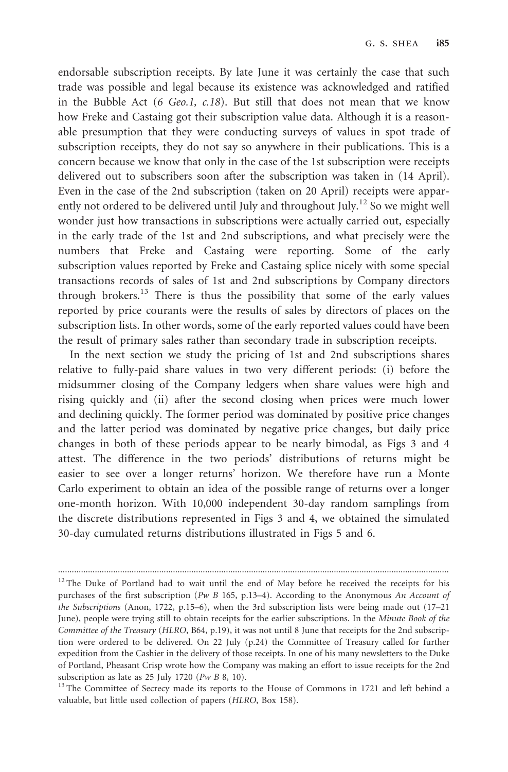endorsable subscription receipts. By late June it was certainly the case that such trade was possible and legal because its existence was acknowledged and ratified in the Bubble Act (6 Geo.1, c.18). But still that does not mean that we know how Freke and Castaing got their subscription value data. Although it is a reasonable presumption that they were conducting surveys of values in spot trade of subscription receipts, they do not say so anywhere in their publications. This is a concern because we know that only in the case of the 1st subscription were receipts delivered out to subscribers soon after the subscription was taken in (14 April). Even in the case of the 2nd subscription (taken on 20 April) receipts were apparently not ordered to be delivered until July and throughout July.<sup>12</sup> So we might well wonder just how transactions in subscriptions were actually carried out, especially in the early trade of the 1st and 2nd subscriptions, and what precisely were the numbers that Freke and Castaing were reporting. Some of the early subscription values reported by Freke and Castaing splice nicely with some special transactions records of sales of 1st and 2nd subscriptions by Company directors through brokers.<sup>13</sup> There is thus the possibility that some of the early values reported by price courants were the results of sales by directors of places on the subscription lists. In other words, some of the early reported values could have been the result of primary sales rather than secondary trade in subscription receipts.

In the next section we study the pricing of 1st and 2nd subscriptions shares relative to fully-paid share values in two very different periods: (i) before the midsummer closing of the Company ledgers when share values were high and rising quickly and (ii) after the second closing when prices were much lower and declining quickly. The former period was dominated by positive price changes and the latter period was dominated by negative price changes, but daily price changes in both of these periods appear to be nearly bimodal, as Figs 3 and 4 attest. The difference in the two periods' distributions of returns might be easier to see over a longer returns' horizon. We therefore have run a Monte Carlo experiment to obtain an idea of the possible range of returns over a longer one-month horizon. With 10,000 independent 30-day random samplings from the discrete distributions represented in Figs 3 and 4, we obtained the simulated 30-day cumulated returns distributions illustrated in Figs 5 and 6.

<sup>..........................................................................................................................................................................</sup>  $12$  The Duke of Portland had to wait until the end of May before he received the receipts for his purchases of the first subscription (Pw B 165, p.13-4). According to the Anonymous An Account of the Subscriptions (Anon, 1722, p.15–6), when the 3rd subscription lists were being made out (17–21 June), people were trying still to obtain receipts for the earlier subscriptions. In the Minute Book of the Committee of the Treasury (HLRO, B64, p.19), it was not until 8 June that receipts for the 2nd subscription were ordered to be delivered. On 22 July (p.24) the Committee of Treasury called for further expedition from the Cashier in the delivery of those receipts. In one of his many newsletters to the Duke of Portland, Pheasant Crisp wrote how the Company was making an effort to issue receipts for the 2nd

subscription as late as 25 July 1720 (Pw B 8, 10).<br><sup>13</sup> The Committee of Secrecy made its reports to the House of Commons in 1721 and left behind a valuable, but little used collection of papers (HLRO, Box 158).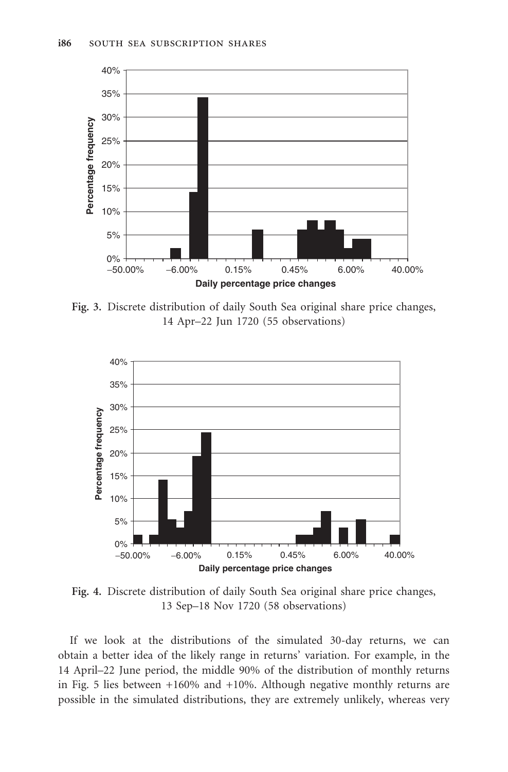

Fig. 3. Discrete distribution of daily South Sea original share price changes, 14 Apr–22 Jun 1720 (55 observations)



Fig. 4. Discrete distribution of daily South Sea original share price changes, 13 Sep–18 Nov 1720 (58 observations)

If we look at the distributions of the simulated 30-day returns, we can obtain a better idea of the likely range in returns' variation. For example, in the 14 April–22 June period, the middle 90% of the distribution of monthly returns in Fig. 5 lies between +160% and +10%. Although negative monthly returns are possible in the simulated distributions, they are extremely unlikely, whereas very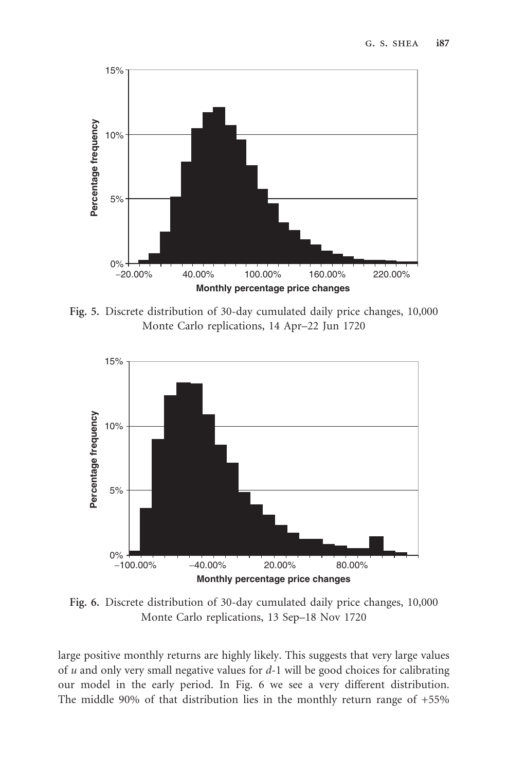

Fig. 5. Discrete distribution of 30-day cumulated daily price changes, 10,000 Monte Carlo replications, 14 Apr–22 Jun 1720



Fig. 6. Discrete distribution of 30-day cumulated daily price changes, 10,000 Monte Carlo replications, 13 Sep–18 Nov 1720

large positive monthly returns are highly likely. This suggests that very large values of  $u$  and only very small negative values for  $d$ -1 will be good choices for calibrating our model in the early period. In Fig. 6 we see a very different distribution.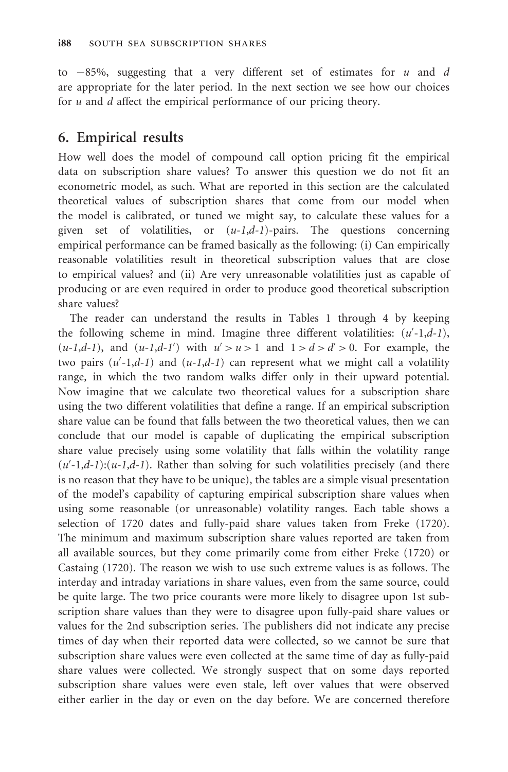to -85%, suggesting that a very different set of estimates for u and d are appropriate for the later period. In the next section we see how our choices for  $u$  and  $d$  affect the empirical performance of our pricing theory.

#### 6. Empirical results

How well does the model of compound call option pricing fit the empirical data on subscription share values? To answer this question we do not fit an econometric model, as such. What are reported in this section are the calculated theoretical values of subscription shares that come from our model when the model is calibrated, or tuned we might say, to calculate these values for a given set of volatilities, or  $(u-1,d-1)$ -pairs. The questions concerning empirical performance can be framed basically as the following: (i) Can empirically reasonable volatilities result in theoretical subscription values that are close to empirical values? and (ii) Are very unreasonable volatilities just as capable of producing or are even required in order to produce good theoretical subscription share values?

The reader can understand the results in Tables 1 through 4 by keeping the following scheme in mind. Imagine three different volatilities:  $(u'-1,d-1)$ ,  $(u-1,d-1)$ , and  $(u-1,d-1')$  with  $u' > u > 1$  and  $1 > d > d' > 0$ . For example, the two pairs  $(u'-1,d-1)$  and  $(u-1,d-1)$  can represent what we might call a volatility range, in which the two random walks differ only in their upward potential. Now imagine that we calculate two theoretical values for a subscription share using the two different volatilities that define a range. If an empirical subscription share value can be found that falls between the two theoretical values, then we can conclude that our model is capable of duplicating the empirical subscription share value precisely using some volatility that falls within the volatility range  $(u'-1,d-1):(u-1,d-1)$ . Rather than solving for such volatilities precisely (and there is no reason that they have to be unique), the tables are a simple visual presentation of the model's capability of capturing empirical subscription share values when using some reasonable (or unreasonable) volatility ranges. Each table shows a selection of 1720 dates and fully-paid share values taken from Freke (1720). The minimum and maximum subscription share values reported are taken from all available sources, but they come primarily come from either Freke (1720) or Castaing (1720). The reason we wish to use such extreme values is as follows. The interday and intraday variations in share values, even from the same source, could be quite large. The two price courants were more likely to disagree upon 1st subscription share values than they were to disagree upon fully-paid share values or values for the 2nd subscription series. The publishers did not indicate any precise times of day when their reported data were collected, so we cannot be sure that subscription share values were even collected at the same time of day as fully-paid share values were collected. We strongly suspect that on some days reported subscription share values were even stale, left over values that were observed either earlier in the day or even on the day before. We are concerned therefore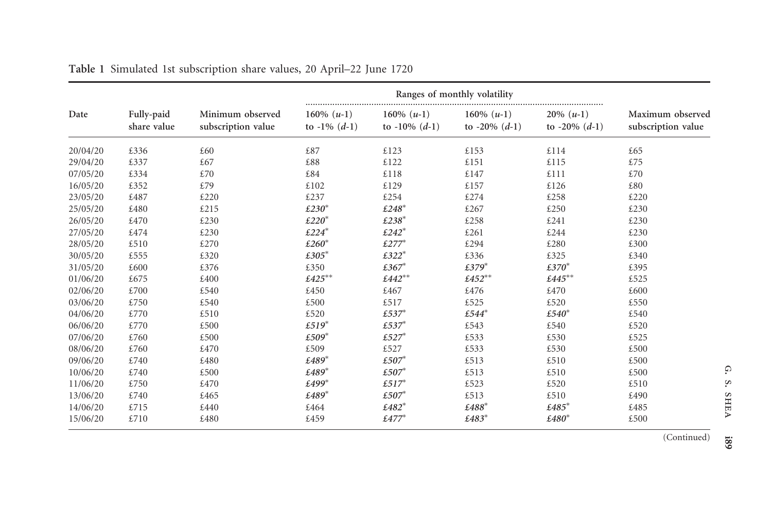| Date     |                           |                                        |                                      |                                     |                                       |                                      |                                        |
|----------|---------------------------|----------------------------------------|--------------------------------------|-------------------------------------|---------------------------------------|--------------------------------------|----------------------------------------|
|          | Fully-paid<br>share value | Minimum observed<br>subscription value | $160\%$ $(u-1)$<br>to $-1\%$ $(d-1)$ | $160\%$ $(u-1)$<br>to $-10\%$ (d-1) | $160\%$ $(u-1)$<br>to $-20\%$ $(d-1)$ | $20\%$ $(u-1)$<br>to $-20\%$ $(d-1)$ | Maximum observed<br>subscription value |
| 20/04/20 | £336                      | £60                                    | £87                                  | £123                                | £153                                  | £114                                 | £65                                    |
| 29/04/20 | £337                      | £67                                    | £88                                  | £122                                | £151                                  | £115                                 | £75                                    |
| 07/05/20 | £334                      | £70                                    | £84                                  | £118                                | £147                                  | £111                                 | £70                                    |
| 16/05/20 | £352                      | £79                                    | £102                                 | £129                                | £157                                  | £126                                 | £80                                    |
| 23/05/20 | £487                      | £220                                   | £237                                 | £254                                | £274                                  | £258                                 | £220                                   |
| 25/05/20 | £480                      | £215                                   | £230 $*$                             | £248 $*$                            | £267                                  | £250                                 | £230                                   |
| 26/05/20 | £470                      | £230                                   | £220 $*$                             | £238*                               | £258                                  | £241                                 | £230                                   |
| 27/05/20 | £474                      | £230                                   | £224 $*$                             | £242 $*$                            | £261                                  | £244                                 | £230                                   |
| 28/05/20 | £510                      | £270                                   | £260 $*$                             | £277 $*$                            | £294                                  | £280                                 | £300                                   |
| 30/05/20 | £555                      | £320                                   | £305 $*$                             | £322 $*$                            | £336                                  | £325                                 | £340                                   |
| 31/05/20 | £600                      | £376                                   | £350                                 | £367 $*$                            | £379*                                 | £370 $*$                             | £395                                   |
| 01/06/20 | £675                      | £400                                   | £425**                               | £442**                              | £452**                                | £445**                               | £525                                   |
| 02/06/20 | £700                      | £540                                   | £450                                 | £467                                | £476                                  | £470                                 | £600                                   |
| 03/06/20 | £750                      | £540                                   | £500                                 | £517                                | £525                                  | £520                                 | £550                                   |
| 04/06/20 | £770                      | £510                                   | £520                                 | £537 $*$                            | $£544*$                               | £540 $*$                             | £540                                   |
| 06/06/20 | £770                      | £500                                   | £519 $*$                             | £537 $*$                            | £543                                  | £540                                 | £520                                   |
| 07/06/20 | £760                      | £500                                   | £509 $*$                             | £527 $*$                            | £533                                  | £530                                 | £525                                   |
| 08/06/20 | £760                      | £470                                   | £509                                 | £527                                | £533                                  | £530                                 | £500                                   |
| 09/06/20 | £740                      | £480                                   | $\pounds 489^*$                      | £507 $*$                            | £513                                  | £510                                 | £500                                   |
| 10/06/20 | £740                      | £500                                   | £489 $*$                             | £507 $*$                            | £513                                  | £510                                 | £500                                   |
| 11/06/20 | £750                      | £470                                   | £499*                                | £517 $*$                            | £523                                  | £520                                 | £510                                   |
| 13/06/20 | £740                      | £465                                   | £489 $*$                             | £507 $*$                            | £513                                  | £510                                 | £490                                   |
| 14/06/20 | £715                      | £440                                   | £464                                 | £482*                               | $\pounds488^*$                        | £485 $*$                             | £485                                   |
| 15/06/20 | £710                      | £480                                   | £459                                 | £477 $*$                            | £483 $*$                              | £480 $*$                             | £500                                   |

Table 1 Simulated 1st subscription share values, <sup>20</sup> April–22 June <sup>1720</sup>

(Continued)

i89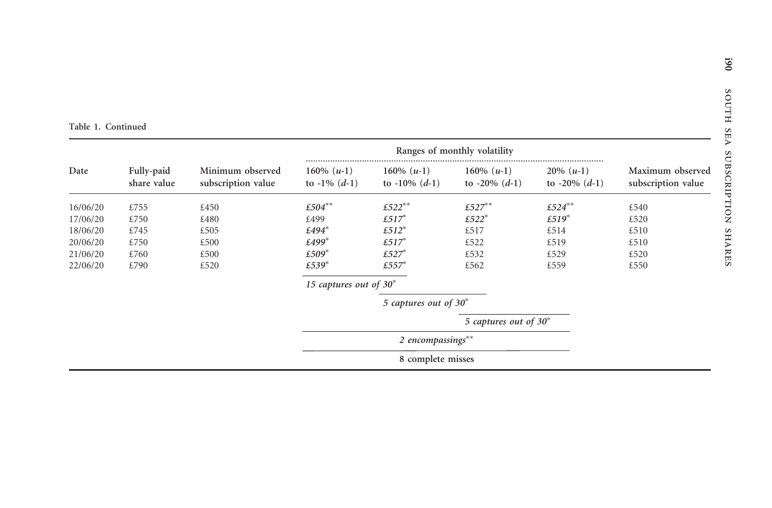Table 1. Continued

| Date     |                           | Minimum observed<br>subscription value | Ranges of monthly volatility                    |                                                        |                                              |                                             |                                        |
|----------|---------------------------|----------------------------------------|-------------------------------------------------|--------------------------------------------------------|----------------------------------------------|---------------------------------------------|----------------------------------------|
|          | Fully-paid<br>share value |                                        | <br>$160\%$ ( <i>u</i> -1)<br>to $-1\%$ $(d-1)$ | $160\%$ ( <i>u</i> -1)<br>to $-10\%$ ( <i>d</i> $-1$ ) | $160\%$ ( <i>u</i> -1)<br>to $-20\%$ $(d-1)$ | $20\%$ ( <i>u</i> -1)<br>to $-20\%$ $(d-1)$ | Maximum observed<br>subscription value |
| 16/06/20 | £755                      | £450                                   | £504**                                          | £522**                                                 | £527**                                       | £524**                                      | £540                                   |
| 17/06/20 | £750                      | £480                                   | £499                                            | £517 $*$                                               | £522 $*$                                     | £519 $*$                                    | £520                                   |
| 18/06/20 | £745                      | £505                                   | £494 $*$                                        | £512 $*$                                               | £517                                         | £514                                        | £510                                   |
| 20/06/20 | £750                      | £500                                   | £499 $*$                                        | £517 $*$                                               | £522                                         | £519                                        | £510                                   |
| 21/06/20 | £760                      | £500                                   | $£509*$                                         | £527 $*$                                               | £532                                         | £529                                        | £520                                   |
| 22/06/20 | £790                      | £520                                   | £539 $*$                                        | £557 $*$                                               | £562                                         | £559                                        | £550                                   |
|          |                           |                                        |                                                 | 15 captures out of $30^*$                              |                                              |                                             |                                        |
|          |                           |                                        |                                                 | 5 captures out of $30^*$                               |                                              |                                             |                                        |
|          |                           |                                        |                                                 |                                                        | 5 captures out of 30*                        |                                             |                                        |
|          |                           |                                        | 2 encompassings**                               |                                                        |                                              |                                             |                                        |
|          |                           |                                        |                                                 | 8 complete misses                                      |                                              |                                             |                                        |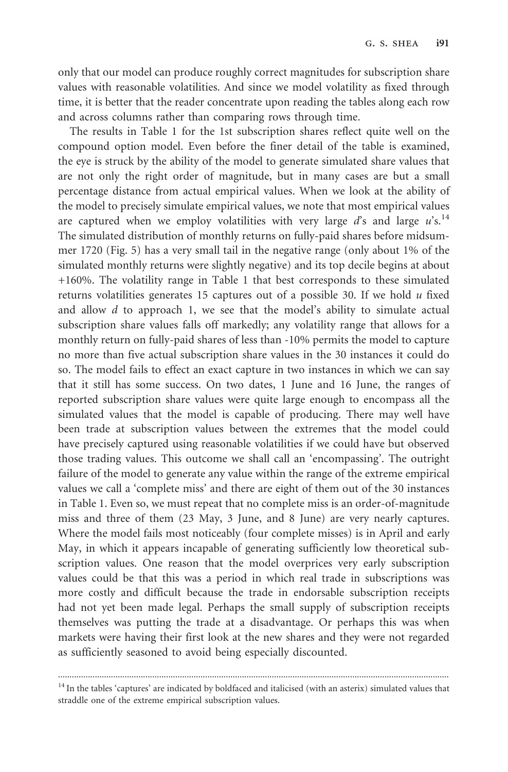only that our model can produce roughly correct magnitudes for subscription share values with reasonable volatilities. And since we model volatility as fixed through time, it is better that the reader concentrate upon reading the tables along each row and across columns rather than comparing rows through time.

The results in Table 1 for the 1st subscription shares reflect quite well on the compound option model. Even before the finer detail of the table is examined, the eye is struck by the ability of the model to generate simulated share values that are not only the right order of magnitude, but in many cases are but a small percentage distance from actual empirical values. When we look at the ability of the model to precisely simulate empirical values, we note that most empirical values are captured when we employ volatilities with very large d's and large  $u$ 's.<sup>14</sup> The simulated distribution of monthly returns on fully-paid shares before midsummer 1720 (Fig. 5) has a very small tail in the negative range (only about 1% of the simulated monthly returns were slightly negative) and its top decile begins at about +160%. The volatility range in Table 1 that best corresponds to these simulated returns volatilities generates 15 captures out of a possible 30. If we hold  $u$  fixed and allow  $d$  to approach 1, we see that the model's ability to simulate actual subscription share values falls off markedly; any volatility range that allows for a monthly return on fully-paid shares of less than -10% permits the model to capture no more than five actual subscription share values in the 30 instances it could do so. The model fails to effect an exact capture in two instances in which we can say that it still has some success. On two dates, 1 June and 16 June, the ranges of reported subscription share values were quite large enough to encompass all the simulated values that the model is capable of producing. There may well have been trade at subscription values between the extremes that the model could have precisely captured using reasonable volatilities if we could have but observed those trading values. This outcome we shall call an 'encompassing'. The outright failure of the model to generate any value within the range of the extreme empirical values we call a 'complete miss' and there are eight of them out of the 30 instances in Table 1. Even so, we must repeat that no complete miss is an order-of-magnitude miss and three of them (23 May, 3 June, and 8 June) are very nearly captures. Where the model fails most noticeably (four complete misses) is in April and early May, in which it appears incapable of generating sufficiently low theoretical subscription values. One reason that the model overprices very early subscription values could be that this was a period in which real trade in subscriptions was more costly and difficult because the trade in endorsable subscription receipts had not yet been made legal. Perhaps the small supply of subscription receipts themselves was putting the trade at a disadvantage. Or perhaps this was when markets were having their first look at the new shares and they were not regarded as sufficiently seasoned to avoid being especially discounted.

<sup>..........................................................................................................................................................................</sup> <sup>14</sup> In the tables 'captures' are indicated by boldfaced and italicised (with an asterix) simulated values that straddle one of the extreme empirical subscription values.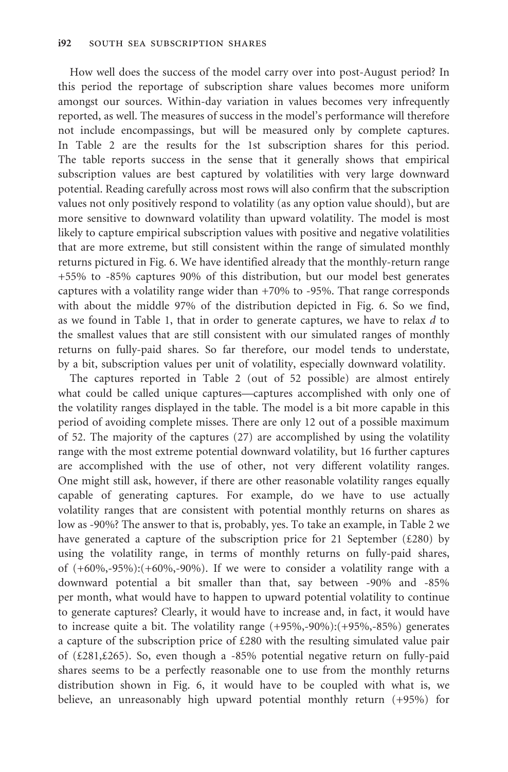How well does the success of the model carry over into post-August period? In this period the reportage of subscription share values becomes more uniform amongst our sources. Within-day variation in values becomes very infrequently reported, as well. The measures of success in the model's performance will therefore not include encompassings, but will be measured only by complete captures. In Table 2 are the results for the 1st subscription shares for this period. The table reports success in the sense that it generally shows that empirical subscription values are best captured by volatilities with very large downward potential. Reading carefully across most rows will also confirm that the subscription values not only positively respond to volatility (as any option value should), but are more sensitive to downward volatility than upward volatility. The model is most likely to capture empirical subscription values with positive and negative volatilities that are more extreme, but still consistent within the range of simulated monthly returns pictured in Fig. 6. We have identified already that the monthly-return range +55% to -85% captures 90% of this distribution, but our model best generates captures with a volatility range wider than +70% to -95%. That range corresponds with about the middle 97% of the distribution depicted in Fig. 6. So we find, as we found in Table 1, that in order to generate captures, we have to relax  $d$  to the smallest values that are still consistent with our simulated ranges of monthly returns on fully-paid shares. So far therefore, our model tends to understate, by a bit, subscription values per unit of volatility, especially downward volatility.

The captures reported in Table 2 (out of 52 possible) are almost entirely what could be called unique captures—captures accomplished with only one of the volatility ranges displayed in the table. The model is a bit more capable in this period of avoiding complete misses. There are only 12 out of a possible maximum of 52. The majority of the captures (27) are accomplished by using the volatility range with the most extreme potential downward volatility, but 16 further captures are accomplished with the use of other, not very different volatility ranges. One might still ask, however, if there are other reasonable volatility ranges equally capable of generating captures. For example, do we have to use actually volatility ranges that are consistent with potential monthly returns on shares as low as -90%? The answer to that is, probably, yes. To take an example, in Table 2 we have generated a capture of the subscription price for 21 September (£280) by using the volatility range, in terms of monthly returns on fully-paid shares, of  $(+60\%, -95\%):(+60\%, -90\%)$ . If we were to consider a volatility range with a downward potential a bit smaller than that, say between -90% and -85% per month, what would have to happen to upward potential volatility to continue to generate captures? Clearly, it would have to increase and, in fact, it would have to increase quite a bit. The volatility range (+95%,-90%):(+95%,-85%) generates a capture of the subscription price of £280 with the resulting simulated value pair of (£281,£265). So, even though a -85% potential negative return on fully-paid shares seems to be a perfectly reasonable one to use from the monthly returns distribution shown in Fig. 6, it would have to be coupled with what is, we believe, an unreasonably high upward potential monthly return (+95%) for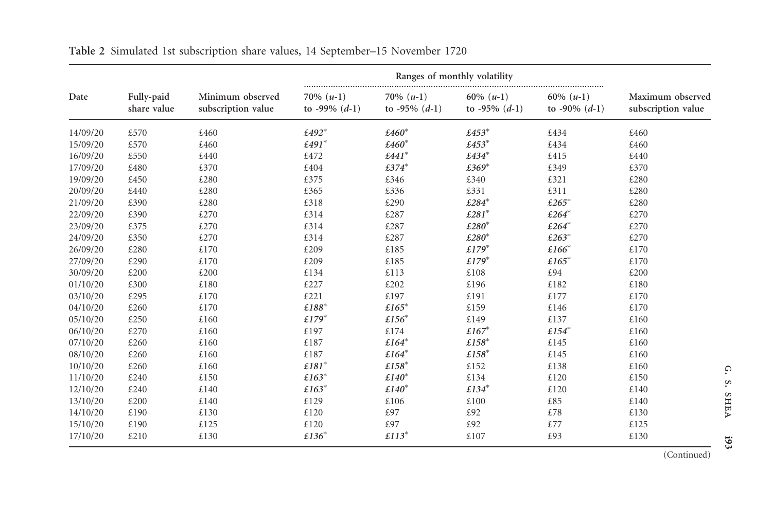|          | Fully-paid<br>share value | Minimum observed<br>subscription value |                                   |                                   |                                    |                                   |                                        |
|----------|---------------------------|----------------------------------------|-----------------------------------|-----------------------------------|------------------------------------|-----------------------------------|----------------------------------------|
| Date     |                           |                                        | $70\%$ $(u-1)$<br>to -99% $(d-1)$ | $70\%$ $(u-1)$<br>to -95% $(d-1)$ | $60\%$ $(u-1)$<br>to $-95\%$ (d-1) | $60\%$ $(u-1)$<br>to -90% $(d-1)$ | Maximum observed<br>subscription value |
| 14/09/20 | £570                      | £460                                   | £492 $*$                          | £460 $*$                          | £453 $*$                           | £434                              | £460                                   |
| 15/09/20 | £570                      | £460                                   | £491 $*$                          | £460 $*$                          | £453 $*$                           | £434                              | £460                                   |
| 16/09/20 | £550                      | £440                                   | £472                              | £441 $*$                          | £434 $*$                           | £415                              | £440                                   |
| 17/09/20 | £480                      | £370                                   | £404                              | £374 $*$                          | £369*                              | £349                              | £370                                   |
| 19/09/20 | £450                      | £280                                   | £375                              | £346                              | £340                               | £321                              | £280                                   |
| 20/09/20 | £440                      | £280                                   | £365                              | £336                              | £331                               | £311                              | £280                                   |
| 21/09/20 | £390                      | £280                                   | £318                              | £290                              | £284*                              | £265 $*$                          | £280                                   |
| 22/09/20 | £390                      | £270                                   | £314                              | £287                              | £281 $*$                           | £264 $*$                          | £270                                   |
| 23/09/20 | £375                      | £270                                   | £314                              | £287                              | £280 $*$                           | £264 $*$                          | £270                                   |
| 24/09/20 | £350                      | £270                                   | £314                              | £287                              | £280*                              | £263 $*$                          | £270                                   |
| 26/09/20 | £280                      | £170                                   | £209                              | £185                              | £179 $*$                           | £166 $*$                          | £170                                   |
| 27/09/20 | £290                      | £170                                   | £209                              | £185                              | £179 $*$                           | £165 $*$                          | £170                                   |
| 30/09/20 | £200                      | £200                                   | £134                              | £113                              | £108                               | £94                               | £200                                   |
| 01/10/20 | £300                      | £180                                   | £227                              | £202                              | £196                               | £182                              | £180                                   |
| 03/10/20 | £295                      | £170                                   | £221                              | £197                              | £191                               | £177                              | £170                                   |
| 04/10/20 | £260                      | £170                                   | £188 $*$                          | £165 $*$                          | £159                               | £146                              | £170                                   |
| 05/10/20 | £250                      | £160                                   | £179 $*$                          | £156 $*$                          | £149                               | £137                              | £160                                   |
| 06/10/20 | £270                      | £160                                   | £197                              | £174                              | £167 $*$                           | £154 $*$                          | £160                                   |
| 07/10/20 | £260                      | £160                                   | £187                              | £164 $*$                          | £158 $*$                           | £145                              | £160                                   |
| 08/10/20 | £260                      | £160                                   | £187                              | £164 $*$                          | £158 $*$                           | £145                              | £160                                   |
| 10/10/20 | £260                      | £160                                   | £181 $*$                          | £158 $*$                          | £152                               | £138                              | £160                                   |
| 11/10/20 | £240                      | £150                                   | £163 $*$                          | £140 $*$                          | £134                               | £120                              | £150                                   |
| 12/10/20 | £240                      | £140                                   | £163 $*$                          | £140 $*$                          | £134 $*$                           | £120                              | £140                                   |
| 13/10/20 | £200                      | £140                                   | £129                              | £106                              | £100                               | £85                               | £140                                   |
| 14/10/20 | £190                      | £130                                   | £120                              | £97                               | £92                                | £78                               | £130                                   |
| 15/10/20 | £190                      | £125                                   | £120                              | £97                               | £92                                | £77                               | £125                                   |
| 17/10/20 | £210                      | £130                                   | £136 $*$                          | £113 $*$                          | £107                               | £93                               | £130                                   |

#### Table 2 Simulated 1st subscription share values, <sup>14</sup> September–15 November <sup>1720</sup>

(Continued)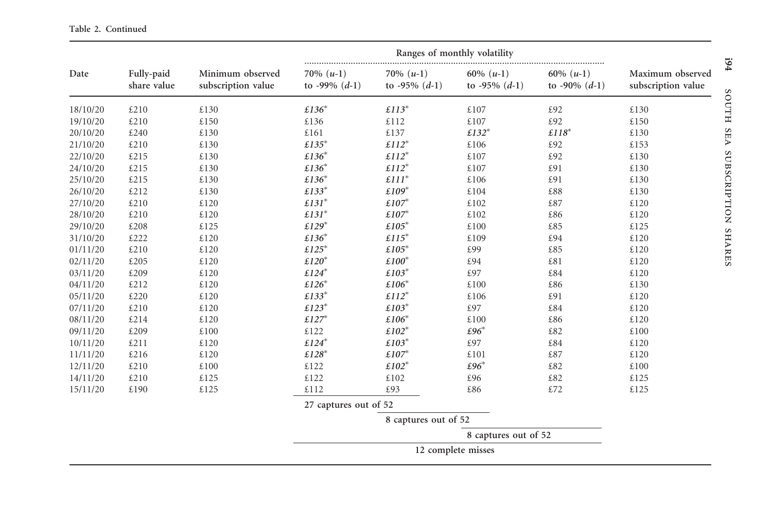| Date     | Fully-paid<br>share value | Minimum observed<br>subscription value | $70\%$ $(u-1)$<br>to -99% $(d-1)$ | $70\%$ $(u-1)$<br>to -95% $(d-1)$ | $60\%$ $(u-1)$<br>to -95% $(d-1)$ | $60\%$ $(u-1)$<br>to -90% $(d-1)$ | Maximum observed<br>subscription value |
|----------|---------------------------|----------------------------------------|-----------------------------------|-----------------------------------|-----------------------------------|-----------------------------------|----------------------------------------|
| 18/10/20 | £210                      | £130                                   | £136 $*$                          | £113 $*$                          | £107                              | £92                               | £130                                   |
| 19/10/20 | £210                      | £150                                   | £136                              | £112                              | £107                              | £92                               | £150                                   |
| 20/10/20 | £240                      | £130                                   | £161                              | £137                              | £132 $*$                          | £118 $*$                          | £130                                   |
| 21/10/20 | £210                      | £130                                   | £135 $*$                          | £112 $*$                          | £106                              | £92                               | £153                                   |
| 22/10/20 | £215                      | £130                                   | £136 $*$                          | £112 $*$                          | £107                              | £92                               | £130                                   |
| 24/10/20 | £215                      | £130                                   | £136 $*$                          | £112 $*$                          | £107                              | £91                               | £130                                   |
| 25/10/20 | £215                      | £130                                   | £136 $*$                          | $£111*$                           | £106                              | £91                               | £130                                   |
| 26/10/20 | £212                      | £130                                   | £133 $*$                          | £109 $*$                          | £104                              | £88                               | £130                                   |
| 27/10/20 | £210                      | £120                                   | $£131*$                           | £107 $*$                          | £102                              | £87                               | £120                                   |
| 28/10/20 | £210                      | £120                                   | $£131*$                           | £107 $*$                          | £102                              | £86                               | £120                                   |
| 29/10/20 | £208                      | £125                                   | £129 $*$                          | £105 $*$                          | £100                              | £85                               | £125                                   |
| 31/10/20 | £222                      | £120                                   | £136 $*$                          | £115 $*$                          | £109                              | £94                               | £120                                   |
| 01/11/20 | £210                      | £120                                   | £125 $*$                          | £105 $*$                          | £99                               | £85                               | £120                                   |
| 02/11/20 | £205                      | £120                                   | £120 $*$                          | $£100*$                           | £94                               | £81                               | £120                                   |
| 03/11/20 | £209                      | £120                                   | £124 $*$                          | £103 $*$                          | £97                               | £84                               | £120                                   |
| 04/11/20 | £212                      | £120                                   | £126 $*$                          | £106 $*$                          | £100                              | £86                               | £130                                   |
| 05/11/20 | £220                      | £120                                   | £133 $*$                          | £112 $*$                          | £106                              | £91                               | £120                                   |
| 07/11/20 | £210                      | £120                                   | $\pounds123^*$                    | £103*                             | £97                               | £84                               | £120                                   |
| 08/11/20 | £214                      | £120                                   | £127 $*$                          | £106 $*$                          | £100                              | £86                               | £120                                   |
| 09/11/20 | £209                      | £100                                   | £122                              | £102 $*$                          | £96 $*$                           | £82                               | £100                                   |
| 10/11/20 | £211                      | £120                                   | £124 $*$                          | $£103*$                           | £97                               | £84                               | £120                                   |
| 11/11/20 | £216                      | £120                                   | £128 $*$                          | £107 $*$                          | £101                              | £87                               | £120                                   |
| 12/11/20 | £210                      | £100                                   | £122                              | £102 $*$                          | £96 $*$                           | £82                               | £100                                   |
| 14/11/20 | £210                      | £125                                   | £122                              | £102                              | £96                               | £82                               | £125                                   |
| 15/11/20 | £190                      | £125                                   | £112                              | £93                               | £86                               | £72                               | £125                                   |
|          |                           |                                        | 27 captures out of 52             |                                   |                                   |                                   |                                        |
|          |                           |                                        |                                   | 8 captures out of 52              |                                   |                                   |                                        |
|          |                           |                                        |                                   |                                   | 8 captures out of 52              |                                   |                                        |
|          |                           |                                        |                                   |                                   | 12 complete misses                |                                   |                                        |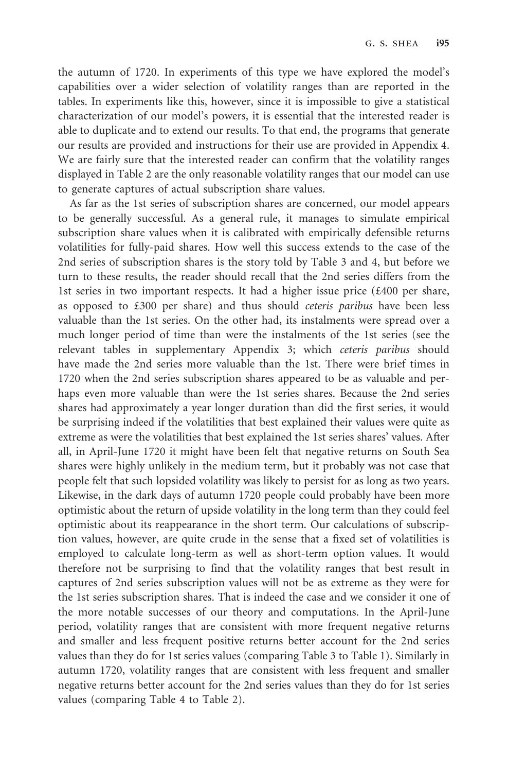the autumn of 1720. In experiments of this type we have explored the model's capabilities over a wider selection of volatility ranges than are reported in the tables. In experiments like this, however, since it is impossible to give a statistical characterization of our model's powers, it is essential that the interested reader is able to duplicate and to extend our results. To that end, the programs that generate our results are provided and instructions for their use are provided in Appendix 4. We are fairly sure that the interested reader can confirm that the volatility ranges displayed in Table 2 are the only reasonable volatility ranges that our model can use to generate captures of actual subscription share values.

As far as the 1st series of subscription shares are concerned, our model appears to be generally successful. As a general rule, it manages to simulate empirical subscription share values when it is calibrated with empirically defensible returns volatilities for fully-paid shares. How well this success extends to the case of the 2nd series of subscription shares is the story told by Table 3 and 4, but before we turn to these results, the reader should recall that the 2nd series differs from the 1st series in two important respects. It had a higher issue price  $(E400$  per share, as opposed to £300 per share) and thus should ceteris paribus have been less valuable than the 1st series. On the other had, its instalments were spread over a much longer period of time than were the instalments of the 1st series (see the relevant tables in supplementary Appendix 3; which ceteris paribus should have made the 2nd series more valuable than the 1st. There were brief times in 1720 when the 2nd series subscription shares appeared to be as valuable and perhaps even more valuable than were the 1st series shares. Because the 2nd series shares had approximately a year longer duration than did the first series, it would be surprising indeed if the volatilities that best explained their values were quite as extreme as were the volatilities that best explained the 1st series shares' values. After all, in April-June 1720 it might have been felt that negative returns on South Sea shares were highly unlikely in the medium term, but it probably was not case that people felt that such lopsided volatility was likely to persist for as long as two years. Likewise, in the dark days of autumn 1720 people could probably have been more optimistic about the return of upside volatility in the long term than they could feel optimistic about its reappearance in the short term. Our calculations of subscription values, however, are quite crude in the sense that a fixed set of volatilities is employed to calculate long-term as well as short-term option values. It would therefore not be surprising to find that the volatility ranges that best result in captures of 2nd series subscription values will not be as extreme as they were for the 1st series subscription shares. That is indeed the case and we consider it one of the more notable successes of our theory and computations. In the April-June period, volatility ranges that are consistent with more frequent negative returns and smaller and less frequent positive returns better account for the 2nd series values than they do for 1st series values (comparing Table 3 to Table 1). Similarly in autumn 1720, volatility ranges that are consistent with less frequent and smaller negative returns better account for the 2nd series values than they do for 1st series values (comparing Table 4 to Table 2).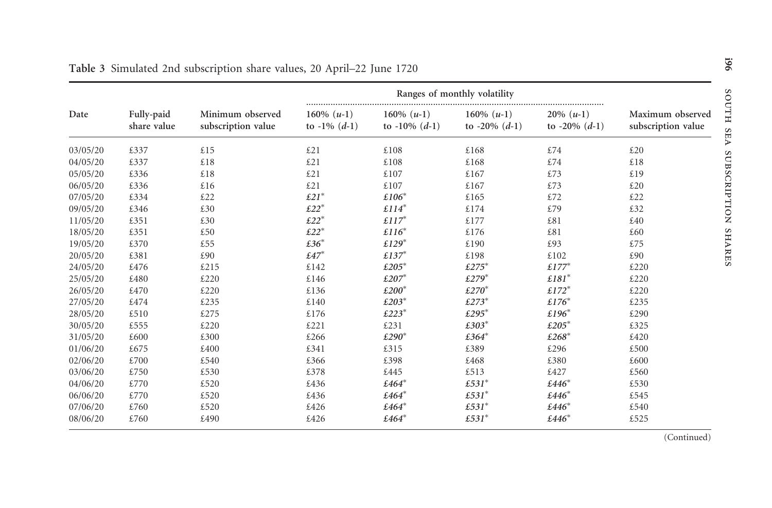| Date     | Ranges of monthly volatility |                                        |                                             |                                                 |                                       |                                      |                                        |  |  |
|----------|------------------------------|----------------------------------------|---------------------------------------------|-------------------------------------------------|---------------------------------------|--------------------------------------|----------------------------------------|--|--|
|          | Fully-paid<br>share value    | Minimum observed<br>subscription value | $160\%$ ( <i>u</i> -1)<br>to $-1\%$ $(d-1)$ | $160\%$ $(u-1)$<br>to $-10\%$ ( <i>d</i> $-1$ ) | $160\%$ $(u-1)$<br>to $-20\%$ $(d-1)$ | $20\%$ $(u-1)$<br>to $-20\%$ $(d-1)$ | Maximum observed<br>subscription value |  |  |
| 03/05/20 | £337                         | £15                                    | £21                                         | £108                                            | £168                                  | £74                                  | £20                                    |  |  |
| 04/05/20 | £337                         | £18                                    | £21                                         | £108                                            | £168                                  | £74                                  | £18                                    |  |  |
| 05/05/20 | £336                         | £18                                    | £21                                         | £107                                            | £167                                  | £73                                  | £19                                    |  |  |
| 06/05/20 | £336                         | £16                                    | £21                                         | £107                                            | £167                                  | £73                                  | £20                                    |  |  |
| 07/05/20 | £334                         | £22                                    | £21 $*$                                     | £106 $*$                                        | £165                                  | £72                                  | £22                                    |  |  |
| 09/05/20 | £346                         | £30                                    | £22 $*$                                     | £114 $*$                                        | £174                                  | £79                                  | £32                                    |  |  |
| 11/05/20 | £351                         | £30                                    | £22 $*$                                     | £117 $*$                                        | £177                                  | £81                                  | £40                                    |  |  |
| 18/05/20 | £351                         | £50                                    | £22 $*$                                     | £116 $*$                                        | £176                                  | £81                                  | £60                                    |  |  |
| 19/05/20 | £370                         | £55                                    | £36 $*$                                     | £129 $*$                                        | £190                                  | £93                                  | £75                                    |  |  |
| 20/05/20 | £381                         | £90                                    | $£47*$                                      | £137 $*$                                        | £198                                  | £102                                 | £90                                    |  |  |
| 24/05/20 | £476                         | £215                                   | £142                                        | £205 $*$                                        | £275 $*$                              | £177 $*$                             | £220                                   |  |  |
| 25/05/20 | £480                         | £220                                   | £146                                        | £207 $*$                                        | £279 $*$                              | £181 $*$                             | £220                                   |  |  |
| 26/05/20 | £470                         | £220                                   | £136                                        | £200 $*$                                        | £270 $*$                              | £172 $*$                             | £220                                   |  |  |
| 27/05/20 | £474                         | £235                                   | £140                                        | £203 $*$                                        | £273 $*$                              | £176 $*$                             | £235                                   |  |  |
| 28/05/20 | £510                         | £275                                   | £176                                        | £223 $*$                                        | £295 $*$                              | £196 $*$                             | £290                                   |  |  |
| 30/05/20 | £555                         | £220                                   | £221                                        | £231                                            | £303 $*$                              | £205 $*$                             | £325                                   |  |  |
| 31/05/20 | £600                         | £300                                   | £266                                        | £290 $*$                                        | £364 $*$                              | £268 $*$                             | £420                                   |  |  |
| 01/06/20 | £675                         | £400                                   | £341                                        | £315                                            | £389                                  | £296                                 | £500                                   |  |  |
| 02/06/20 | £700                         | £540                                   | £366                                        | £398                                            | £468                                  | £380                                 | £600                                   |  |  |
| 03/06/20 | £750                         | £530                                   | £378                                        | £445                                            | £513                                  | £427                                 | £560                                   |  |  |
| 04/06/20 | £770                         | £520                                   | £436                                        | £464 $*$                                        | £531 $*$                              | £446 $*$                             | £530                                   |  |  |
| 06/06/20 | £770                         | £520                                   | £436                                        | £464 $*$                                        | £531 $*$                              | £446 $*$                             | £545                                   |  |  |
| 07/06/20 | £760                         | £520                                   | £426                                        | £464 $*$                                        | £531 $*$                              | £446 $*$                             | £540                                   |  |  |
| 08/06/20 | £760                         | £490                                   | £426                                        | £464 $*$                                        | £531 $*$                              | £446 $*$                             | £525                                   |  |  |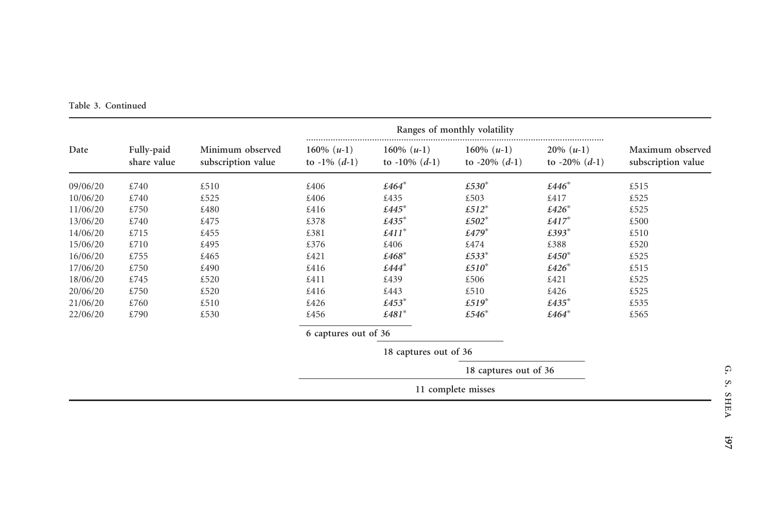| Date     |                           |                                        |                                                       |                                                 |                                       |                                      |                                        |
|----------|---------------------------|----------------------------------------|-------------------------------------------------------|-------------------------------------------------|---------------------------------------|--------------------------------------|----------------------------------------|
|          | Fully-paid<br>share value | Minimum observed<br>subscription value | $160\%$ ( <i>u</i> -1)<br>to $-1\%$ ( <i>d</i> $-1$ ) | $160\%$ $(u-1)$<br>to $-10\%$ ( <i>d</i> $-1$ ) | $160\%$ $(u-1)$<br>to $-20\%$ $(d-1)$ | $20\%$ $(u-1)$<br>to $-20\%$ $(d-1)$ | Maximum observed<br>subscription value |
| 09/06/20 | £740                      | £510                                   | £406                                                  | £464 $*$                                        | £530 $*$                              | £446 $*$                             | £515                                   |
| 10/06/20 | £740                      | £525                                   | £406                                                  | £435                                            | £503                                  | £417                                 | £525                                   |
| 11/06/20 | £750                      | £480                                   | £416                                                  | £445 $*$                                        | £512 $*$                              | £426 $*$                             | £525                                   |
| 13/06/20 | £740                      | £475                                   | £378                                                  | £435 $*$                                        | £502 $*$                              | £417 $*$                             | £500                                   |
| 14/06/20 | £715                      | £455                                   | £381                                                  | £411 $*$                                        | £479 $*$                              | $£393*$                              | £510                                   |
| 15/06/20 | £710                      | £495                                   | £376                                                  | £406                                            | £474                                  | £388                                 | £520                                   |
| 16/06/20 | £755                      | £465                                   | £421                                                  | £468 $*$                                        | £533*                                 | £450 $*$                             | £525                                   |
| 17/06/20 | £750                      | £490                                   | £416                                                  | £444 $*$                                        | £510 $*$                              | £426 $*$                             | £515                                   |
| 18/06/20 | £745                      | £520                                   | £411                                                  | £439                                            | £506                                  | £421                                 | £525                                   |
| 20/06/20 | £750                      | £520                                   | £416                                                  | £443                                            | £510                                  | £426                                 | £525                                   |
| 21/06/20 | £760                      | £510                                   | £426                                                  | £453 $*$                                        | £519 $*$                              | £435 $*$                             | £535                                   |
| 22/06/20 | £790                      | £530                                   | £456                                                  | £481 $*$                                        | £546 $*$                              | £464 $*$                             | £565                                   |
|          |                           |                                        | 6 captures out of 36                                  |                                                 |                                       |                                      |                                        |
|          |                           |                                        |                                                       | 18 captures out of 36                           |                                       |                                      |                                        |
|          |                           |                                        | 18 captures out of 36                                 |                                                 |                                       |                                      |                                        |
|          |                           |                                        |                                                       |                                                 | 11 complete misses                    |                                      |                                        |

Table 3. Continued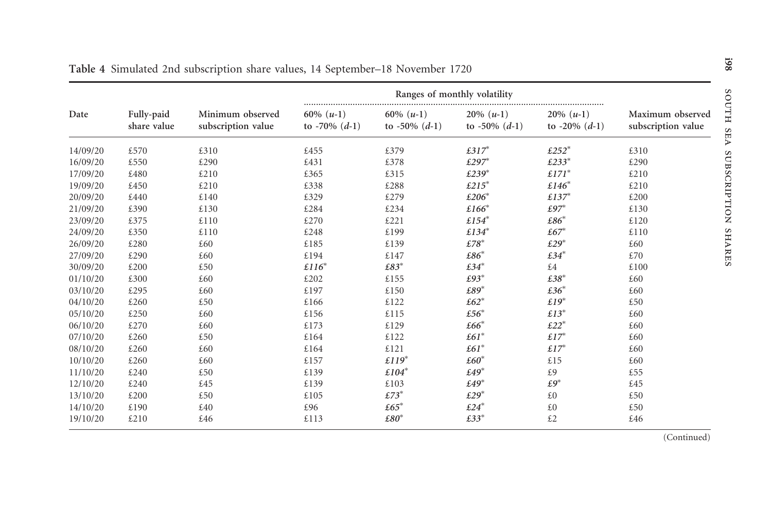| Date     |                           |                                        | Ranges of monthly volatility       |                                    |                                    |                                      |                                        |
|----------|---------------------------|----------------------------------------|------------------------------------|------------------------------------|------------------------------------|--------------------------------------|----------------------------------------|
|          | Fully-paid<br>share value | Minimum observed<br>subscription value | $60\%$ $(u-1)$<br>to $-70\%$ (d-1) | $60\%$ $(u-1)$<br>to $-50\%$ (d-1) | $20\%$ $(u-1)$<br>to $-50\%$ (d-1) | $20\%$ $(u-1)$<br>to $-20\%$ $(d-1)$ | Maximum observed<br>subscription value |
| 14/09/20 | £570                      | £310                                   | £455                               | £379                               | £317 $*$                           | £252 $*$                             | £310                                   |
| 16/09/20 | £550                      | £290                                   | £431                               | £378                               | £297 $*$                           | £233 $*$                             | £290                                   |
| 17/09/20 | £480                      | £210                                   | £365                               | £315                               | £239*                              | £171 $*$                             | £210                                   |
| 19/09/20 | £450                      | £210                                   | £338                               | £288                               | £215 $*$                           | £146 $*$                             | £210                                   |
| 20/09/20 | £440                      | £140                                   | £329                               | £279                               | £206 $*$                           | £137 $*$                             | £200                                   |
| 21/09/20 | £390                      | £130                                   | £284                               | £234                               | £166 $*$                           | £97 $*$                              | £130                                   |
| 23/09/20 | £375                      | £110                                   | £270                               | £221                               | £154 $*$                           | £86 $*$                              | £120                                   |
| 24/09/20 | £350                      | £110                                   | £248                               | £199                               | £134 $*$                           | £67 $*$                              | £110                                   |
| 26/09/20 | £280                      | £60                                    | £185                               | £139                               | $\pounds 78^*$                     | £29 $*$                              | £60                                    |
| 27/09/20 | £290                      | £60                                    | £194                               | £147                               | $£86*$                             | £34 $*$                              | £70                                    |
| 30/09/20 | £200                      | £50                                    | £116 $*$                           | £83 $*$                            | $£34*$                             | £4                                   | £100                                   |
| 01/10/20 | £300                      | £60                                    | £202                               | £155                               | £93 $*$                            | £38 $*$                              | £60                                    |
| 03/10/20 | £295                      | £60                                    | £197                               | £150                               | $£89*$                             | £36 $*$                              | £60                                    |
| 04/10/20 | £260                      | £50                                    | £166                               | £122                               | £62 $*$                            | £19 $*$                              | £50                                    |
| 05/10/20 | £250                      | £60                                    | £156                               | £115                               | £56 $*$                            | £13 $*$                              | £60                                    |
| 06/10/20 | £270                      | £60                                    | £173                               | £129                               | $£66*$                             | £22 $*$                              | £60                                    |
| 07/10/20 | £260                      | £50                                    | £164                               | £122                               | £61 $*$                            | £17 $*$                              | £60                                    |
| 08/10/20 | £260                      | £60                                    | £164                               | £121                               | £61 $*$                            | £17 $*$                              | £60                                    |
| 10/10/20 | £260                      | £60                                    | £157                               | £119 $*$                           | $\pounds 60^*$                     | £15                                  | £60                                    |
| 11/10/20 | £240                      | £50                                    | £139                               | £104 $*$                           | £49 $*$                            | £9                                   | £55                                    |
| 12/10/20 | £240                      | £45                                    | £139                               | £103                               | £49 $*$                            | $£9*$                                | £45                                    |
| 13/10/20 | £200                      | £50                                    | £105                               | $£73*$                             | £29 $*$                            | £0                                   | £50                                    |
| 14/10/20 | £190                      | £40                                    | £96                                | £65 $*$                            | £24 $*$                            | £0                                   | £50                                    |
| 19/10/20 | £210                      | £46                                    | £113                               | $£80*$                             | £33 $*$                            | £2                                   | £46                                    |

Table 4 Simulated 2nd subscription share values, <sup>14</sup> September–18 November <sup>1720</sup>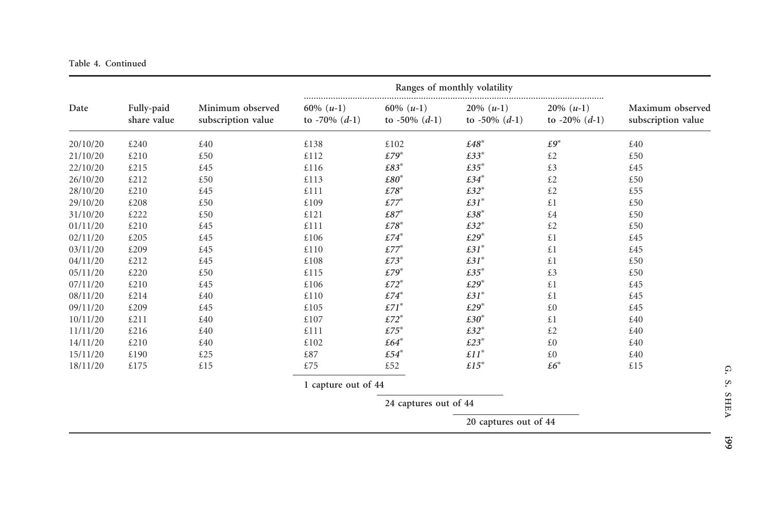| Date     |                           |                                        |                                    |                                    |                                    |                                      |                                        |
|----------|---------------------------|----------------------------------------|------------------------------------|------------------------------------|------------------------------------|--------------------------------------|----------------------------------------|
|          | Fully-paid<br>share value | Minimum observed<br>subscription value | $60\%$ $(u-1)$<br>to $-70\%$ (d-1) | $60\%$ $(u-1)$<br>to $-50\%$ (d-1) | $20\%$ $(u-1)$<br>to $-50\%$ (d-1) | $20\%$ $(u-1)$<br>to $-20\%$ $(d-1)$ | Maximum observed<br>subscription value |
| 20/10/20 | £240                      | £40                                    | £138                               | £102                               | $£48*$                             | $\pounds 9^*$                        | £40                                    |
| 21/10/20 | £210                      | £50                                    | £112                               | $£79*$                             | £33 $*$                            | £2                                   | £50                                    |
| 22/10/20 | £215                      | £45                                    | £116                               | £83 $*$                            | £35 $*$                            | £3                                   | £45                                    |
| 26/10/20 | £212                      | £50                                    | £113                               | $£80*$                             | £34 $*$                            | £2                                   | £50                                    |
| 28/10/20 | £210                      | £45                                    | £111                               | $£78*$                             | £32 $*$                            | £2                                   | £55                                    |
| 29/10/20 | £208                      | £50                                    | £109                               | $£77*$                             | £31 $*$                            | £1                                   | £50                                    |
| 31/10/20 | £222                      | £50                                    | £121                               | $£87*$                             | £38 $*$                            | £4                                   | £50                                    |
| 01/11/20 | £210                      | £45                                    | £111                               | £78 $*$                            | £32 $*$                            | £2                                   | £50                                    |
| 02/11/20 | £205                      | £45                                    | £106                               | £74 $*$                            | £29 $*$                            | £1                                   | £45                                    |
| 03/11/20 | £209                      | £45                                    | £110                               | $£77*$                             | £31 $*$                            | £1                                   | £45                                    |
| 04/11/20 | £212                      | £45                                    | £108                               | $£73*$                             | £31 $*$                            | £1                                   | £50                                    |
| 05/11/20 | £220                      | £50                                    | £115                               | $£79*$                             | $£35*$                             | £3                                   | £50                                    |
| 07/11/20 | £210                      | £45                                    | £106                               | £72 $*$                            | £29 $*$                            | £1                                   | £45                                    |
| 08/11/20 | £214                      | £40                                    | £110                               | $£74*$                             | £31 $*$                            | £1                                   | £45                                    |
| 09/11/20 | £209                      | £45                                    | £105                               | £71 $*$                            | £29 $*$                            | £0                                   | £45                                    |
| 10/11/20 | £211                      | £40                                    | £107                               | £72 $*$                            | £30 $*$                            | £1                                   | £40                                    |
| 11/11/20 | £216                      | £40                                    | £111                               | $£75*$                             | $£32*$                             | £2                                   | £40                                    |
| 14/11/20 | £210                      | £40                                    | £102                               | £64 $*$                            | £23 $*$                            | £0                                   | £40                                    |
| 15/11/20 | £190                      | £25                                    | £87                                | £54 $*$                            | $\pounds11^*$                      | £0                                   | £40                                    |
| 18/11/20 | £175                      | £15                                    | £75                                | £52                                | $£15*$                             | $\pounds6^*$                         | £15                                    |
|          |                           |                                        | 1 capture out of 44                |                                    |                                    |                                      |                                        |
|          |                           |                                        |                                    | 24 captures out of 44              |                                    |                                      |                                        |
|          |                           |                                        |                                    |                                    | 20 captures out of 44              |                                      |                                        |

Table 4. Continued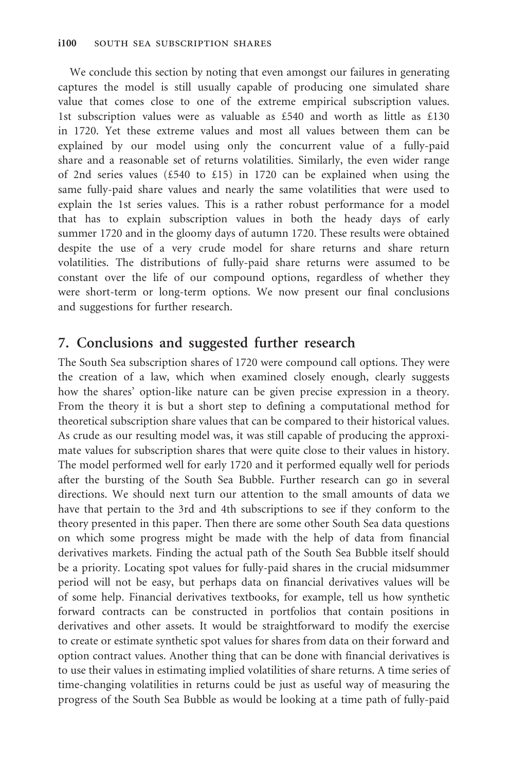We conclude this section by noting that even amongst our failures in generating captures the model is still usually capable of producing one simulated share value that comes close to one of the extreme empirical subscription values. 1st subscription values were as valuable as £540 and worth as little as £130 in 1720. Yet these extreme values and most all values between them can be explained by our model using only the concurrent value of a fully-paid share and a reasonable set of returns volatilities. Similarly, the even wider range of 2nd series values (£540 to £15) in 1720 can be explained when using the same fully-paid share values and nearly the same volatilities that were used to explain the 1st series values. This is a rather robust performance for a model that has to explain subscription values in both the heady days of early summer 1720 and in the gloomy days of autumn 1720. These results were obtained despite the use of a very crude model for share returns and share return volatilities. The distributions of fully-paid share returns were assumed to be constant over the life of our compound options, regardless of whether they were short-term or long-term options. We now present our final conclusions and suggestions for further research.

## 7. Conclusions and suggested further research

The South Sea subscription shares of 1720 were compound call options. They were the creation of a law, which when examined closely enough, clearly suggests how the shares' option-like nature can be given precise expression in a theory. From the theory it is but a short step to defining a computational method for theoretical subscription share values that can be compared to their historical values. As crude as our resulting model was, it was still capable of producing the approximate values for subscription shares that were quite close to their values in history. The model performed well for early 1720 and it performed equally well for periods after the bursting of the South Sea Bubble. Further research can go in several directions. We should next turn our attention to the small amounts of data we have that pertain to the 3rd and 4th subscriptions to see if they conform to the theory presented in this paper. Then there are some other South Sea data questions on which some progress might be made with the help of data from financial derivatives markets. Finding the actual path of the South Sea Bubble itself should be a priority. Locating spot values for fully-paid shares in the crucial midsummer period will not be easy, but perhaps data on financial derivatives values will be of some help. Financial derivatives textbooks, for example, tell us how synthetic forward contracts can be constructed in portfolios that contain positions in derivatives and other assets. It would be straightforward to modify the exercise to create or estimate synthetic spot values for shares from data on their forward and option contract values. Another thing that can be done with financial derivatives is to use their values in estimating implied volatilities of share returns. A time series of time-changing volatilities in returns could be just as useful way of measuring the progress of the South Sea Bubble as would be looking at a time path of fully-paid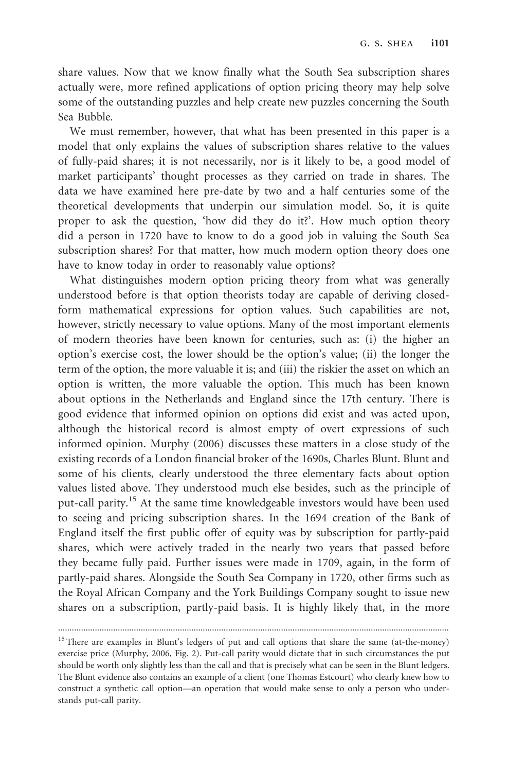share values. Now that we know finally what the South Sea subscription shares actually were, more refined applications of option pricing theory may help solve some of the outstanding puzzles and help create new puzzles concerning the South Sea Bubble.

We must remember, however, that what has been presented in this paper is a model that only explains the values of subscription shares relative to the values of fully-paid shares; it is not necessarily, nor is it likely to be, a good model of market participants' thought processes as they carried on trade in shares. The data we have examined here pre-date by two and a half centuries some of the theoretical developments that underpin our simulation model. So, it is quite proper to ask the question, 'how did they do it?'. How much option theory did a person in 1720 have to know to do a good job in valuing the South Sea subscription shares? For that matter, how much modern option theory does one have to know today in order to reasonably value options?

What distinguishes modern option pricing theory from what was generally understood before is that option theorists today are capable of deriving closedform mathematical expressions for option values. Such capabilities are not, however, strictly necessary to value options. Many of the most important elements of modern theories have been known for centuries, such as: (i) the higher an option's exercise cost, the lower should be the option's value; (ii) the longer the term of the option, the more valuable it is; and (iii) the riskier the asset on which an option is written, the more valuable the option. This much has been known about options in the Netherlands and England since the 17th century. There is good evidence that informed opinion on options did exist and was acted upon, although the historical record is almost empty of overt expressions of such informed opinion. Murphy (2006) discusses these matters in a close study of the existing records of a London financial broker of the 1690s, Charles Blunt. Blunt and some of his clients, clearly understood the three elementary facts about option values listed above. They understood much else besides, such as the principle of put-call parity.<sup>15</sup> At the same time knowledgeable investors would have been used to seeing and pricing subscription shares. In the 1694 creation of the Bank of England itself the first public offer of equity was by subscription for partly-paid shares, which were actively traded in the nearly two years that passed before they became fully paid. Further issues were made in 1709, again, in the form of partly-paid shares. Alongside the South Sea Company in 1720, other firms such as the Royal African Company and the York Buildings Company sought to issue new shares on a subscription, partly-paid basis. It is highly likely that, in the more

<sup>..........................................................................................................................................................................</sup> <sup>15</sup> There are examples in Blunt's ledgers of put and call options that share the same (at-the-money) exercise price (Murphy, 2006, Fig. 2). Put-call parity would dictate that in such circumstances the put should be worth only slightly less than the call and that is precisely what can be seen in the Blunt ledgers. The Blunt evidence also contains an example of a client (one Thomas Estcourt) who clearly knew how to construct a synthetic call option—an operation that would make sense to only a person who understands put-call parity.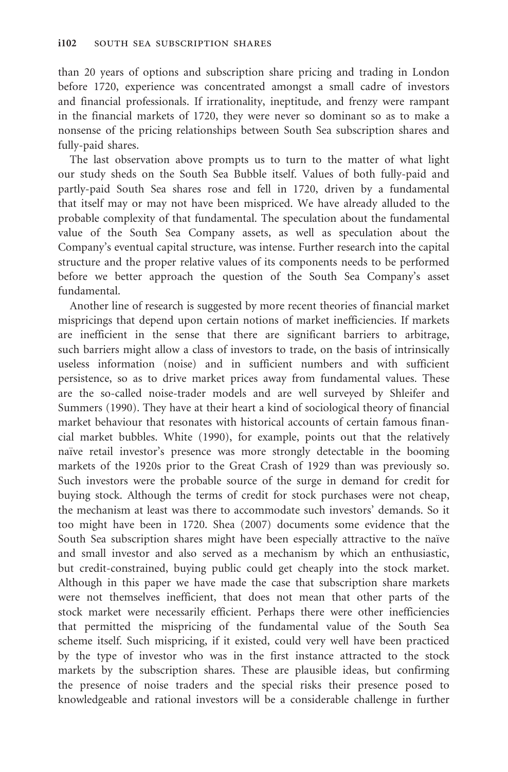than 20 years of options and subscription share pricing and trading in London before 1720, experience was concentrated amongst a small cadre of investors and financial professionals. If irrationality, ineptitude, and frenzy were rampant in the financial markets of 1720, they were never so dominant so as to make a nonsense of the pricing relationships between South Sea subscription shares and fully-paid shares.

The last observation above prompts us to turn to the matter of what light our study sheds on the South Sea Bubble itself. Values of both fully-paid and partly-paid South Sea shares rose and fell in 1720, driven by a fundamental that itself may or may not have been mispriced. We have already alluded to the probable complexity of that fundamental. The speculation about the fundamental value of the South Sea Company assets, as well as speculation about the Company's eventual capital structure, was intense. Further research into the capital structure and the proper relative values of its components needs to be performed before we better approach the question of the South Sea Company's asset fundamental.

Another line of research is suggested by more recent theories of financial market mispricings that depend upon certain notions of market inefficiencies. If markets are inefficient in the sense that there are significant barriers to arbitrage, such barriers might allow a class of investors to trade, on the basis of intrinsically useless information (noise) and in sufficient numbers and with sufficient persistence, so as to drive market prices away from fundamental values. These are the so-called noise-trader models and are well surveyed by Shleifer and Summers (1990). They have at their heart a kind of sociological theory of financial market behaviour that resonates with historical accounts of certain famous financial market bubbles. White (1990), for example, points out that the relatively naïve retail investor's presence was more strongly detectable in the booming markets of the 1920s prior to the Great Crash of 1929 than was previously so. Such investors were the probable source of the surge in demand for credit for buying stock. Although the terms of credit for stock purchases were not cheap, the mechanism at least was there to accommodate such investors' demands. So it too might have been in 1720. Shea (2007) documents some evidence that the South Sea subscription shares might have been especially attractive to the naïve and small investor and also served as a mechanism by which an enthusiastic, but credit-constrained, buying public could get cheaply into the stock market. Although in this paper we have made the case that subscription share markets were not themselves inefficient, that does not mean that other parts of the stock market were necessarily efficient. Perhaps there were other inefficiencies that permitted the mispricing of the fundamental value of the South Sea scheme itself. Such mispricing, if it existed, could very well have been practiced by the type of investor who was in the first instance attracted to the stock markets by the subscription shares. These are plausible ideas, but confirming the presence of noise traders and the special risks their presence posed to knowledgeable and rational investors will be a considerable challenge in further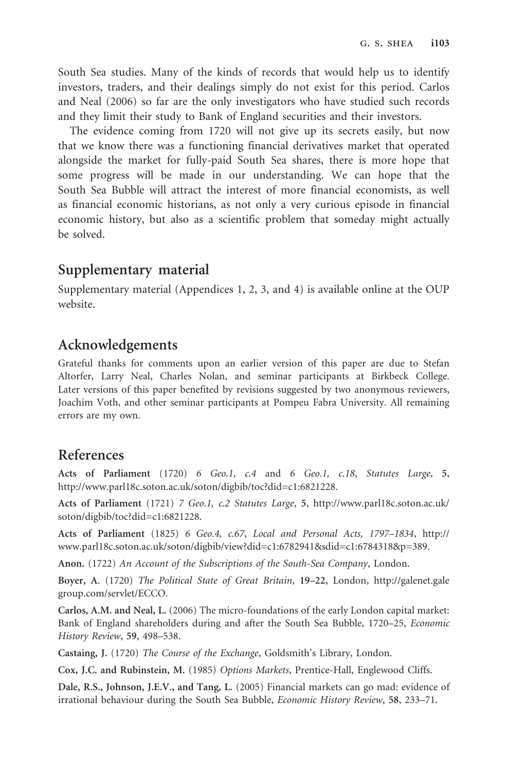South Sea studies. Many of the kinds of records that would help us to identify investors, traders, and their dealings simply do not exist for this period. Carlos and Neal (2006) so far are the only investigators who have studied such records and they limit their study to Bank of England securities and their investors.

The evidence coming from 1720 will not give up its secrets easily, but now that we know there was a functioning financial derivatives market that operated alongside the market for fully-paid South Sea shares, there is more hope that some progress will be made in our understanding. We can hope that the South Sea Bubble will attract the interest of more financial economists, as well as financial economic historians, as not only a very curious episode in financial economic history, but also as a scientific problem that someday might actually be solved.

#### Supplementary material

Supplementary material (Appendices 1, 2, 3, and 4) is available online at the OUP website.

## Acknowledgements

Grateful thanks for comments upon an earlier version of this paper are due to Stefan Altorfer, Larry Neal, Charles Nolan, and seminar participants at Birkbeck College. Later versions of this paper benefited by revisions suggested by two anonymous reviewers, Joachim Voth, and other seminar participants at Pompeu Fabra University. All remaining errors are my own.

## References

Acts of Parliament (1720) 6 Geo.1, c.4 and 6 Geo.1, c.18, Statutes Large, 5, http://www.parl18c.soton.ac.uk/soton/digbib/toc?did=c1:6821228.

Acts of Parliament (1721) 7 Geo.1, c.2 Statutes Large, 5, http://www.parl18c.soton.ac.uk/ soton/digbib/toc?did=c1:6821228.

Acts of Parliament (1825) 6 Geo.4, c.67, Local and Personal Acts, 1797–1834, http:// www.parl18c.soton.ac.uk/soton/digbib/view?did=c1:6782941&sdid=c1:6784318&p=389.

Anon. (1722) An Account of the Subscriptions of the South-Sea Company, London.

Boyer, A. (1720) The Political State of Great Britain, 19–22, London, http://galenet.gale group.com/servlet/ECCO.

Carlos, A.M. and Neal, L. (2006) The micro-foundations of the early London capital market: Bank of England shareholders during and after the South Sea Bubble, 1720–25, Economic History Review, 59, 498–538.

Castaing, J. (1720) The Course of the Exchange, Goldsmith's Library, London.

Cox, J.C. and Rubinstein, M. (1985) Options Markets, Prentice-Hall, Englewood Cliffs.

Dale, R.S., Johnson, J.E.V., and Tang, L. (2005) Financial markets can go mad: evidence of irrational behaviour during the South Sea Bubble, Economic History Review, 58, 233–71.